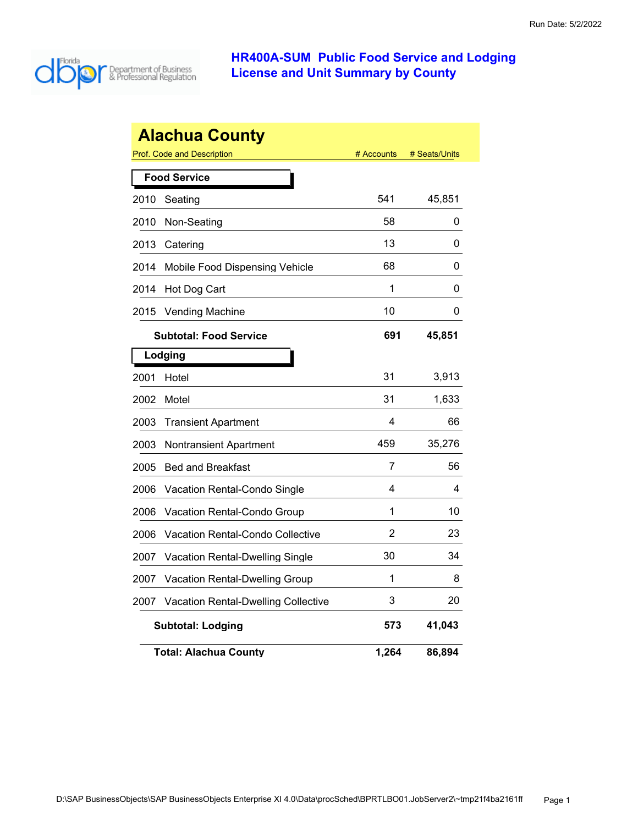

|      | <b>Alachua County</b>                      |            |               |
|------|--------------------------------------------|------------|---------------|
|      | Prof. Code and Description                 | # Accounts | # Seats/Units |
|      | <b>Food Service</b>                        |            |               |
| 2010 | Seating                                    | 541        | 45,851        |
| 2010 | Non-Seating                                | 58         | 0             |
| 2013 | Catering                                   | 13         | 0             |
| 2014 | Mobile Food Dispensing Vehicle             | 68         | 0             |
| 2014 | Hot Dog Cart                               | 1          | 0             |
| 2015 | <b>Vending Machine</b>                     | 10         | 0             |
|      | <b>Subtotal: Food Service</b>              | 691        | 45,851        |
|      | Lodging                                    |            |               |
| 2001 | Hotel                                      | 31         | 3,913         |
| 2002 | Motel                                      | 31         | 1,633         |
| 2003 | <b>Transient Apartment</b>                 | 4          | 66            |
| 2003 | <b>Nontransient Apartment</b>              | 459        | 35,276        |
| 2005 | <b>Bed and Breakfast</b>                   | 7          | 56            |
| 2006 | Vacation Rental-Condo Single               | 4          | 4             |
| 2006 | <b>Vacation Rental-Condo Group</b>         | 1          | 10            |
| 2006 | Vacation Rental-Condo Collective           | 2          | 23            |
| 2007 | Vacation Rental-Dwelling Single            | 30         | 34            |
| 2007 | Vacation Rental-Dwelling Group             | 1          | 8             |
| 2007 | <b>Vacation Rental-Dwelling Collective</b> | 3          | 20            |
|      | <b>Subtotal: Lodging</b>                   | 573        | 41,043        |
|      | <b>Total: Alachua County</b>               | 1,264      | 86,894        |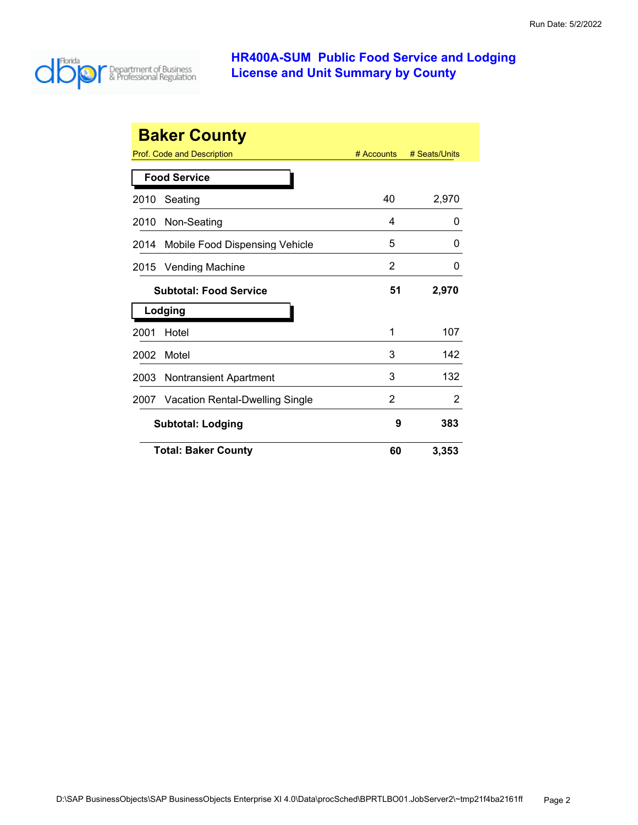

|      | <b>Baker County</b>                  |            |               |
|------|--------------------------------------|------------|---------------|
|      | Prof. Code and Description           | # Accounts | # Seats/Units |
|      | <b>Food Service</b>                  |            |               |
| 2010 | Seating                              | 40         | 2,970         |
| 2010 | Non-Seating                          | 4          | ი             |
| 2014 | Mobile Food Dispensing Vehicle       | 5          | 0             |
| 2015 | <b>Vending Machine</b>               | 2          | 0             |
|      | <b>Subtotal: Food Service</b>        | 51         | 2,970         |
|      | Lodging                              |            |               |
| 2001 | Hotel                                | 1          | 107           |
| 2002 | Motel                                | 3          | 142           |
| 2003 | <b>Nontransient Apartment</b>        | 3          | 132           |
|      | 2007 Vacation Rental-Dwelling Single | 2          | 2             |
|      | <b>Subtotal: Lodging</b>             | 9          | 383           |
|      | <b>Total: Baker County</b>           | 60         | 3,353         |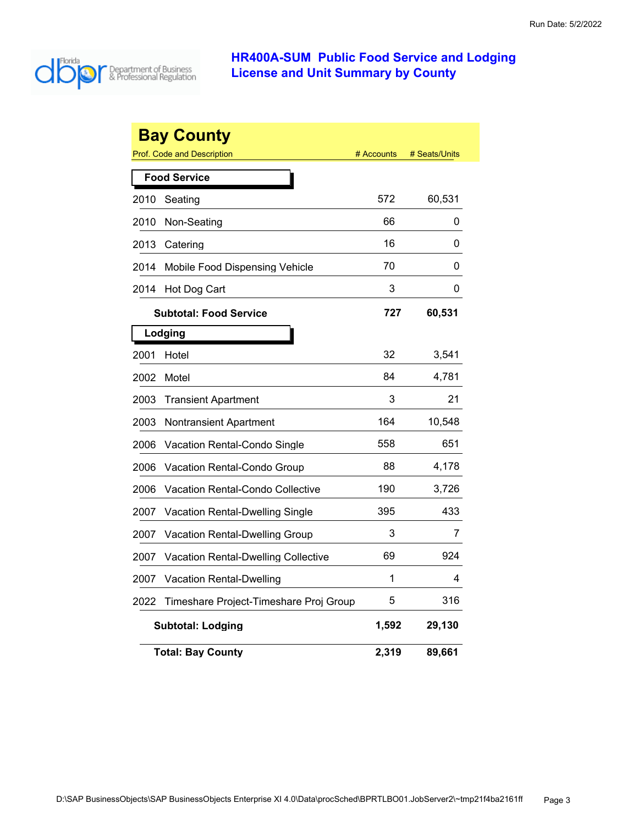

|      | <b>Bay County</b>                          |            |               |
|------|--------------------------------------------|------------|---------------|
|      | <b>Prof. Code and Description</b>          | # Accounts | # Seats/Units |
|      | <b>Food Service</b>                        |            |               |
| 2010 | Seating                                    | 572        | 60,531        |
| 2010 | Non-Seating                                | 66         | 0             |
| 2013 | Catering                                   | 16         | 0             |
| 2014 | Mobile Food Dispensing Vehicle             | 70         | 0             |
| 2014 | Hot Dog Cart                               | 3          | 0             |
|      | <b>Subtotal: Food Service</b>              | 727        | 60,531        |
|      | Lodging                                    |            |               |
| 2001 | Hotel                                      | 32         | 3,541         |
| 2002 | Motel                                      | 84         | 4,781         |
| 2003 | <b>Transient Apartment</b>                 | 3          | 21            |
| 2003 | <b>Nontransient Apartment</b>              | 164        | 10,548        |
| 2006 | Vacation Rental-Condo Single               | 558        | 651           |
| 2006 | <b>Vacation Rental-Condo Group</b>         | 88         | 4,178         |
| 2006 | <b>Vacation Rental-Condo Collective</b>    | 190        | 3,726         |
| 2007 | <b>Vacation Rental-Dwelling Single</b>     | 395        | 433           |
| 2007 | Vacation Rental-Dwelling Group             | 3          | 7             |
| 2007 | <b>Vacation Rental-Dwelling Collective</b> | 69         | 924           |
| 2007 | <b>Vacation Rental-Dwelling</b>            | 1          | 4             |
| 2022 | Timeshare Project-Timeshare Proj Group     | 5          | 316           |
|      | <b>Subtotal: Lodging</b>                   | 1,592      | 29,130        |
|      | <b>Total: Bay County</b>                   | 2,319      | 89,661        |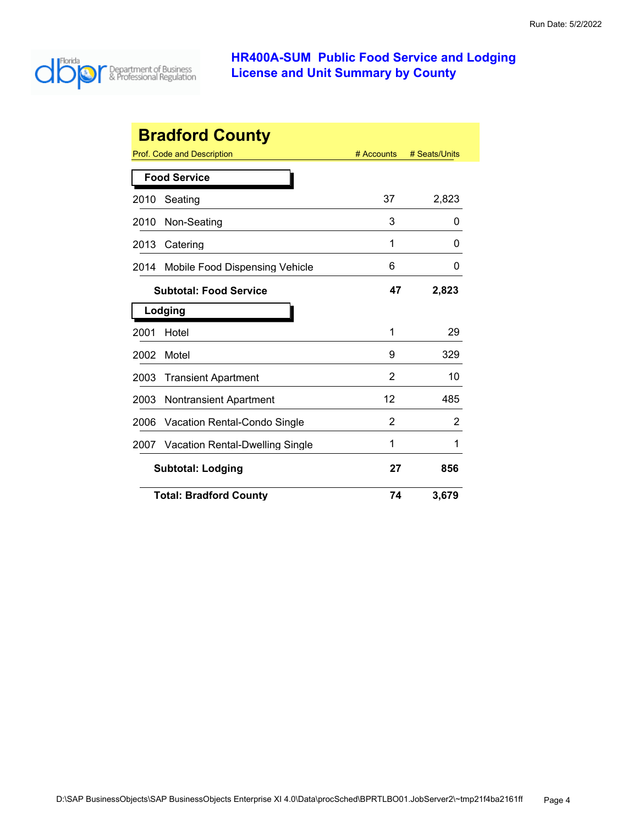

| <b>Bradford County</b> |                                 |            |               |
|------------------------|---------------------------------|------------|---------------|
|                        | Prof. Code and Description      | # Accounts | # Seats/Units |
|                        | <b>Food Service</b>             |            |               |
| 2010                   | Seating                         | 37         | 2,823         |
| 2010                   | Non-Seating                     | 3          | O             |
| 2013                   | Catering                        | 1          | O             |
| 2014                   | Mobile Food Dispensing Vehicle  | 6          | 0             |
|                        | <b>Subtotal: Food Service</b>   | 47         | 2,823         |
|                        | Lodging                         |            |               |
| 2001                   | Hotel                           | 1          | 29            |
| 2002                   | Motel                           | 9          | 329           |
| 2003                   | <b>Transient Apartment</b>      | 2          | 10            |
| 2003                   | Nontransient Apartment          | 12         | 485           |
| 2006                   | Vacation Rental-Condo Single    | 2          | 2             |
| 2007                   | Vacation Rental-Dwelling Single | 1          | 1             |
|                        | <b>Subtotal: Lodging</b>        | 27         | 856           |
|                        | <b>Total: Bradford County</b>   | 74         | 3,679         |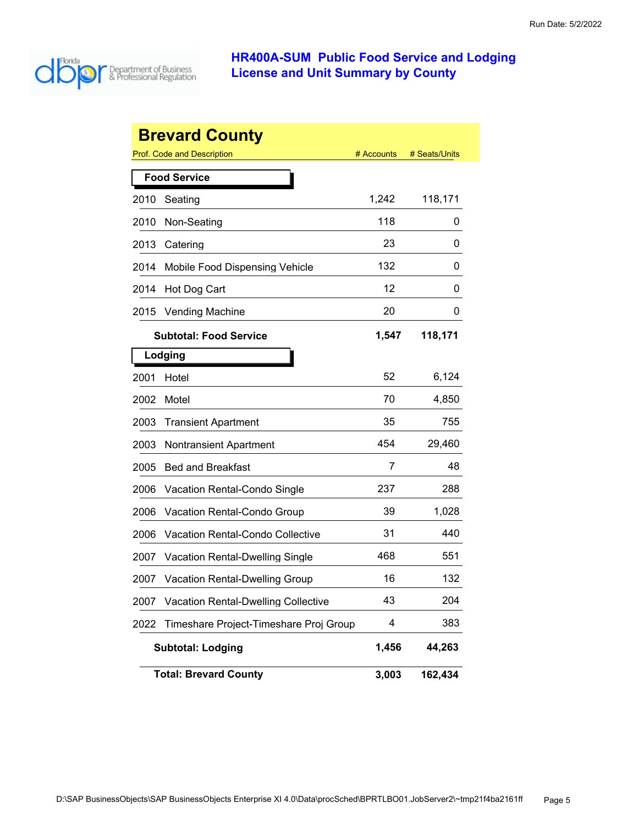

|      | <b>Brevard County</b>                      |            |               |
|------|--------------------------------------------|------------|---------------|
|      | <b>Prof. Code and Description</b>          | # Accounts | # Seats/Units |
|      | <b>Food Service</b>                        |            |               |
| 2010 | Seating                                    | 1,242      | 118,171       |
| 2010 | Non-Seating                                | 118        | 0             |
| 2013 | Catering                                   | 23         | 0             |
| 2014 | Mobile Food Dispensing Vehicle             | 132        | 0             |
| 2014 | Hot Dog Cart                               | 12         | 0             |
| 2015 | <b>Vending Machine</b>                     | 20         | 0             |
|      | <b>Subtotal: Food Service</b>              | 1,547      | 118,171       |
|      | Lodging                                    |            |               |
| 2001 | Hotel                                      | 52         | 6,124         |
| 2002 | Motel                                      | 70         | 4,850         |
| 2003 | <b>Transient Apartment</b>                 | 35         | 755           |
| 2003 | <b>Nontransient Apartment</b>              | 454        | 29,460        |
| 2005 | <b>Bed and Breakfast</b>                   | 7          | 48            |
| 2006 | Vacation Rental-Condo Single               | 237        | 288           |
| 2006 | Vacation Rental-Condo Group                | 39         | 1,028         |
| 2006 | Vacation Rental-Condo Collective           | 31         | 440           |
| 2007 | <b>Vacation Rental-Dwelling Single</b>     | 468        | 551           |
| 2007 | <b>Vacation Rental-Dwelling Group</b>      | 16         | 132           |
| 2007 | <b>Vacation Rental-Dwelling Collective</b> | 43         | 204           |
| 2022 | Timeshare Project-Timeshare Proj Group     | 4          | 383           |
|      | <b>Subtotal: Lodging</b>                   | 1,456      | 44,263        |
|      | <b>Total: Brevard County</b>               | 3,003      | 162,434       |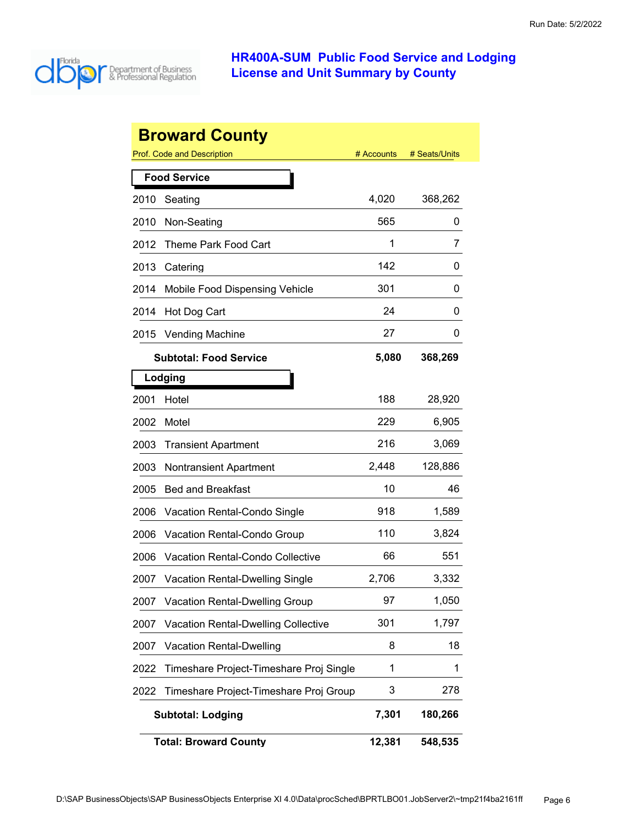

| <b>Broward County</b> |                                            |            |               |
|-----------------------|--------------------------------------------|------------|---------------|
|                       | <b>Prof. Code and Description</b>          | # Accounts | # Seats/Units |
|                       | <b>Food Service</b>                        |            |               |
| 2010                  | Seating                                    | 4,020      | 368,262       |
| 2010                  | Non-Seating                                | 565        | 0             |
| 2012                  | Theme Park Food Cart                       | 1          | 7             |
| 2013                  | Catering                                   | 142        | 0             |
| 2014                  | Mobile Food Dispensing Vehicle             | 301        | 0             |
| 2014                  | Hot Dog Cart                               | 24         | 0             |
| 2015                  | <b>Vending Machine</b>                     | 27         | Ü             |
|                       | <b>Subtotal: Food Service</b>              | 5,080      | 368,269       |
|                       | Lodging                                    |            |               |
| 2001                  | Hotel                                      | 188        | 28,920        |
| 2002                  | Motel                                      | 229        | 6,905         |
| 2003                  | <b>Transient Apartment</b>                 | 216        | 3,069         |
| 2003                  | <b>Nontransient Apartment</b>              | 2,448      | 128,886       |
| 2005                  | <b>Bed and Breakfast</b>                   | 10         | 46            |
| 2006                  | Vacation Rental-Condo Single               | 918        | 1,589         |
| 2006                  | Vacation Rental-Condo Group                | 110        | 3,824         |
| 2006                  | Vacation Rental-Condo Collective           | 66         | 551           |
| 2007                  | <b>Vacation Rental-Dwelling Single</b>     | 2,706      | 3,332         |
| 2007                  | <b>Vacation Rental-Dwelling Group</b>      | 97         | 1,050         |
| 2007                  | <b>Vacation Rental-Dwelling Collective</b> | 301        | 1,797         |
| 2007                  | <b>Vacation Rental-Dwelling</b>            | 8          | 18            |
| 2022                  | Timeshare Project-Timeshare Proj Single    | 1          | 1             |
| 2022                  | Timeshare Project-Timeshare Proj Group     | 3          | 278           |
|                       | <b>Subtotal: Lodging</b>                   | 7,301      | 180,266       |
|                       | <b>Total: Broward County</b>               | 12,381     | 548,535       |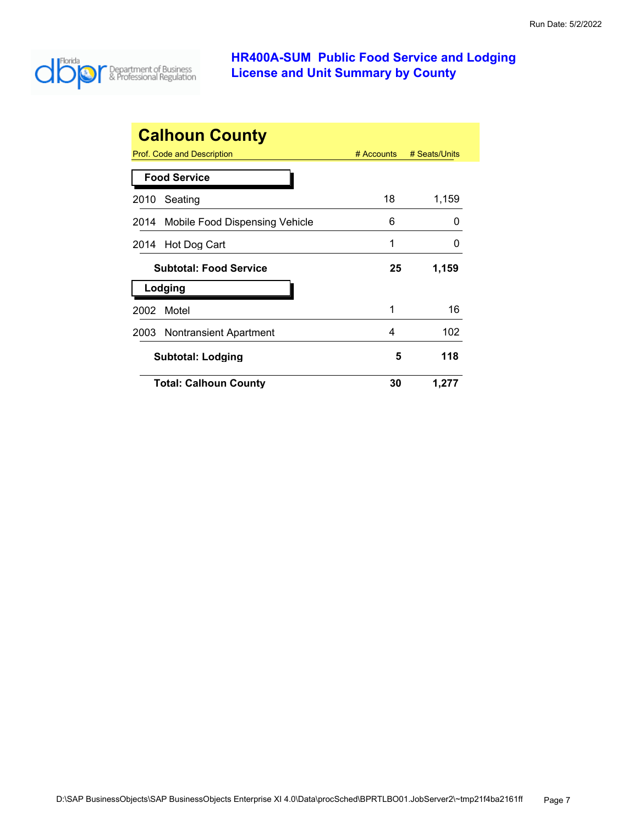

| <b>Calhoun County</b>                        |              |               |  |  |  |
|----------------------------------------------|--------------|---------------|--|--|--|
| Prof. Code and Description                   | $#$ Accounts | # Seats/Units |  |  |  |
| <b>Food Service</b>                          |              |               |  |  |  |
| 2010<br>Seating                              | 18           | 1,159         |  |  |  |
| Mobile Food Dispensing Vehicle<br>2014       | 6            | $\mathbf{0}$  |  |  |  |
| Hot Dog Cart<br>2014                         | 1            | 0             |  |  |  |
| <b>Subtotal: Food Service</b><br>25<br>1,159 |              |               |  |  |  |
| Lodging                                      |              |               |  |  |  |
| Motel<br>2002                                | 1            | 16            |  |  |  |
| <b>Nontransient Apartment</b><br>2003        | 4            | 102           |  |  |  |
| 118<br>5<br><b>Subtotal: Lodging</b>         |              |               |  |  |  |
|                                              |              |               |  |  |  |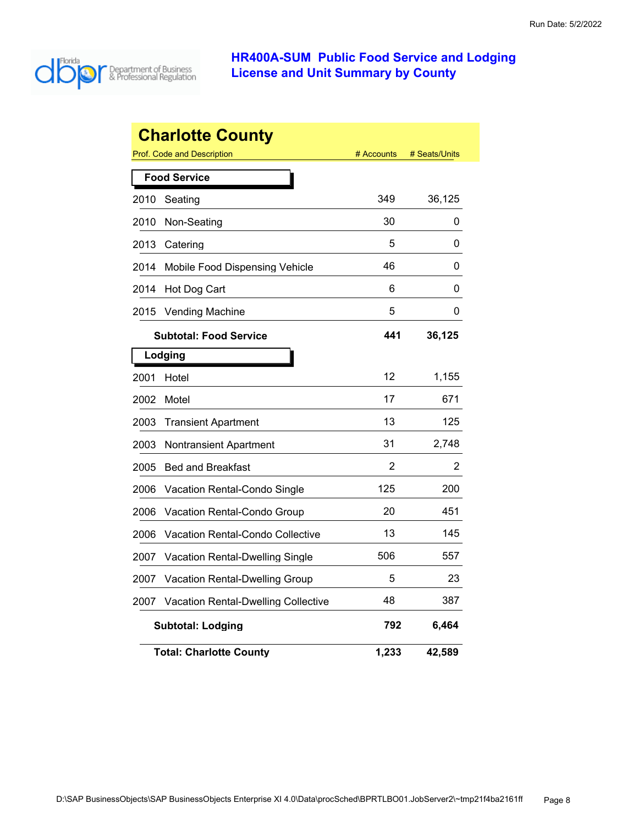

|      | <b>Charlotte County</b>                    |            |               |
|------|--------------------------------------------|------------|---------------|
|      | <b>Prof. Code and Description</b>          | # Accounts | # Seats/Units |
|      | <b>Food Service</b>                        |            |               |
| 2010 | Seating                                    | 349        | 36,125        |
| 2010 | Non-Seating                                | 30         | 0             |
| 2013 | Catering                                   | 5          | 0             |
| 2014 | Mobile Food Dispensing Vehicle             | 46         | 0             |
| 2014 | Hot Dog Cart                               | 6          | 0             |
| 2015 | <b>Vending Machine</b>                     | 5          | 0             |
|      | <b>Subtotal: Food Service</b>              | 441        | 36,125        |
|      | Lodging                                    |            |               |
| 2001 | Hotel                                      | 12         | 1,155         |
| 2002 | Motel                                      | 17         | 671           |
| 2003 | <b>Transient Apartment</b>                 | 13         | 125           |
| 2003 | Nontransient Apartment                     | 31         | 2,748         |
| 2005 | <b>Bed and Breakfast</b>                   | 2          | 2             |
| 2006 | <b>Vacation Rental-Condo Single</b>        | 125        | 200           |
| 2006 | Vacation Rental-Condo Group                | 20         | 451           |
| 2006 | Vacation Rental-Condo Collective           | 13         | 145           |
| 2007 | Vacation Rental-Dwelling Single            | 506        | 557           |
| 2007 | <b>Vacation Rental-Dwelling Group</b>      | 5          | 23            |
| 2007 | <b>Vacation Rental-Dwelling Collective</b> | 48         | 387           |
|      | <b>Subtotal: Lodging</b>                   | 792        | 6,464         |
|      | <b>Total: Charlotte County</b>             | 1,233      | 42,589        |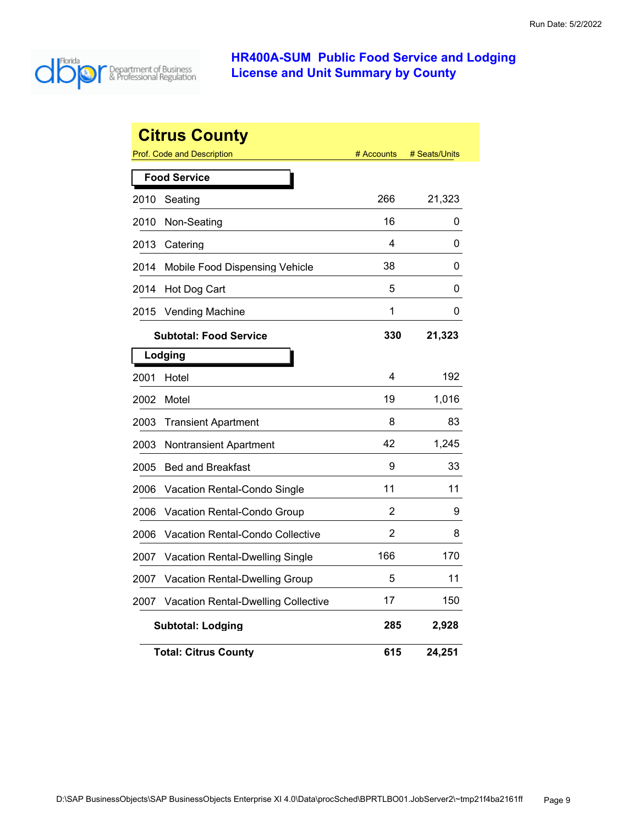

|      | <b>Citrus County</b>                       |            |               |
|------|--------------------------------------------|------------|---------------|
|      | <b>Prof. Code and Description</b>          | # Accounts | # Seats/Units |
|      | <b>Food Service</b>                        |            |               |
| 2010 | Seating                                    | 266        | 21,323        |
| 2010 | Non-Seating                                | 16         | 0             |
| 2013 | Catering                                   | 4          | 0             |
| 2014 | Mobile Food Dispensing Vehicle             | 38         | 0             |
| 2014 | Hot Dog Cart                               | 5          | 0             |
| 2015 | <b>Vending Machine</b>                     | 1          | 0             |
|      | <b>Subtotal: Food Service</b>              | 330        | 21,323        |
|      | Lodging                                    |            |               |
| 2001 | Hotel                                      | 4          | 192           |
| 2002 | Motel                                      | 19         | 1,016         |
| 2003 | <b>Transient Apartment</b>                 | 8          | 83            |
| 2003 | Nontransient Apartment                     | 42         | 1,245         |
| 2005 | <b>Bed and Breakfast</b>                   | 9          | 33            |
| 2006 | Vacation Rental-Condo Single               | 11         | 11            |
| 2006 | Vacation Rental-Condo Group                | 2          | 9             |
| 2006 | Vacation Rental-Condo Collective           | 2          | 8             |
| 2007 | Vacation Rental-Dwelling Single            | 166        | 170           |
| 2007 | <b>Vacation Rental-Dwelling Group</b>      | 5          | 11            |
| 2007 | <b>Vacation Rental-Dwelling Collective</b> | 17         | 150           |
|      | <b>Subtotal: Lodging</b>                   | 285        | 2,928         |
|      | <b>Total: Citrus County</b>                | 615        | 24,251        |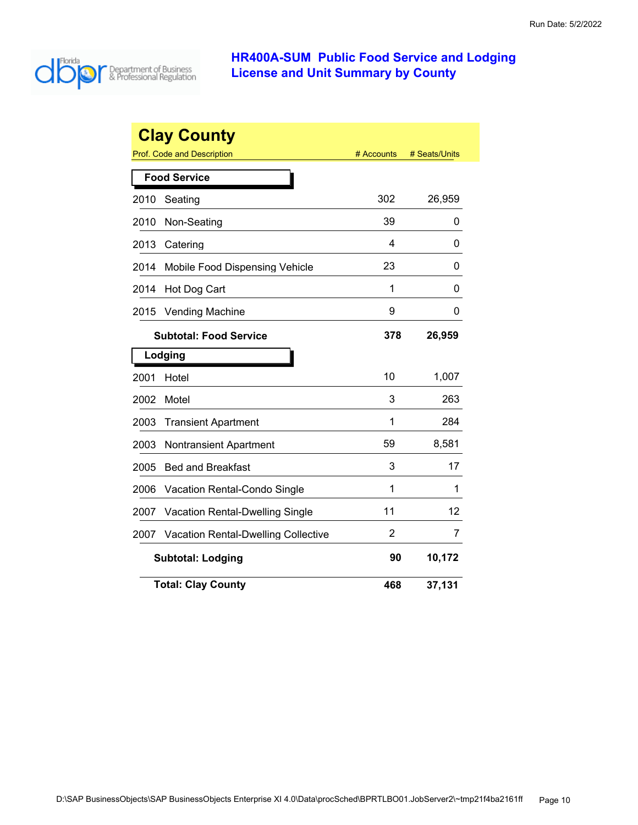

|      | <b>Clay County</b>                         |            |               |
|------|--------------------------------------------|------------|---------------|
|      | Prof. Code and Description                 | # Accounts | # Seats/Units |
|      | <b>Food Service</b>                        |            |               |
| 2010 | Seating                                    | 302        | 26,959        |
| 2010 | Non-Seating                                | 39         | 0             |
| 2013 | Catering                                   | 4          | 0             |
| 2014 | Mobile Food Dispensing Vehicle             | 23         | 0             |
| 2014 | Hot Dog Cart                               | 1          | 0             |
| 2015 | <b>Vending Machine</b>                     | 9          | 0             |
|      | <b>Subtotal: Food Service</b>              | 378        | 26,959        |
|      | Lodging                                    |            |               |
| 2001 | Hotel                                      | 10         | 1,007         |
| 2002 | Motel                                      | 3          | 263           |
| 2003 | <b>Transient Apartment</b>                 | 1          | 284           |
| 2003 | <b>Nontransient Apartment</b>              | 59         | 8,581         |
| 2005 | <b>Bed and Breakfast</b>                   | 3          | 17            |
| 2006 | Vacation Rental-Condo Single               | 1          | 1             |
| 2007 | Vacation Rental-Dwelling Single            | 11         | 12            |
| 2007 | <b>Vacation Rental-Dwelling Collective</b> | 2          | 7             |
|      | <b>Subtotal: Lodging</b>                   | 90         | 10,172        |
|      | <b>Total: Clay County</b>                  | 468        | 37,131        |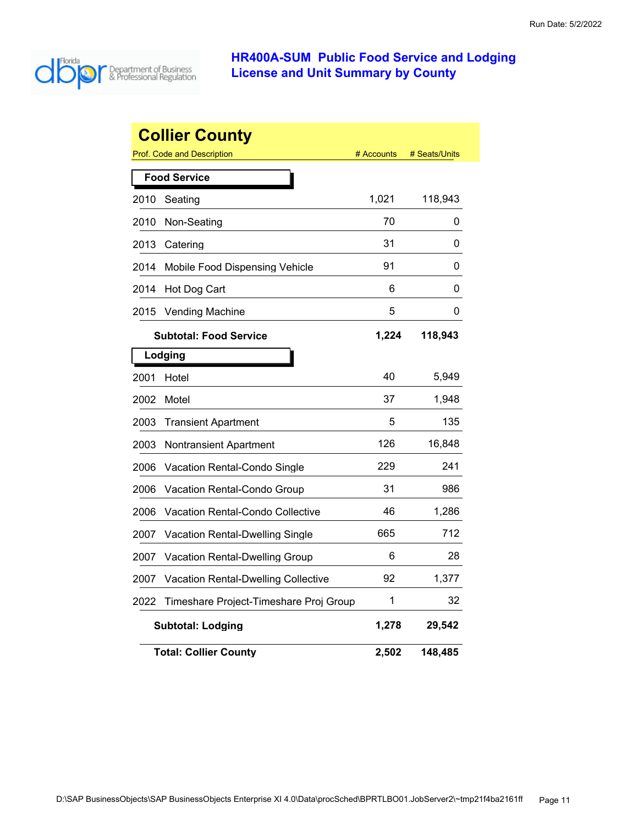

|      | <b>Collier County</b>                  |            |               |
|------|----------------------------------------|------------|---------------|
|      | <b>Prof. Code and Description</b>      | # Accounts | # Seats/Units |
|      | <b>Food Service</b>                    |            |               |
| 2010 | Seating                                | 1,021      | 118,943       |
| 2010 | Non-Seating                            | 70         | 0             |
| 2013 | Catering                               | 31         | 0             |
| 2014 | Mobile Food Dispensing Vehicle         | 91         | 0             |
| 2014 | Hot Dog Cart                           | 6          | 0             |
| 2015 | <b>Vending Machine</b>                 | 5          | 0             |
|      | <b>Subtotal: Food Service</b>          | 1,224      | 118,943       |
|      | Lodging                                |            |               |
| 2001 | Hotel                                  | 40         | 5,949         |
| 2002 | Motel                                  | 37         | 1,948         |
| 2003 | <b>Transient Apartment</b>             | 5          | 135           |
| 2003 | Nontransient Apartment                 | 126        | 16,848        |
| 2006 | Vacation Rental-Condo Single           | 229        | 241           |
| 2006 | Vacation Rental-Condo Group            | 31         | 986           |
| 2006 | Vacation Rental-Condo Collective       | 46         | 1,286         |
| 2007 | Vacation Rental-Dwelling Single        | 665        | 712           |
| 2007 | <b>Vacation Rental-Dwelling Group</b>  | 6          | 28            |
| 2007 | Vacation Rental-Dwelling Collective    | 92         | 1,377         |
| 2022 | Timeshare Project-Timeshare Proj Group | 1          | 32            |
|      | <b>Subtotal: Lodging</b>               | 1,278      | 29,542        |
|      | <b>Total: Collier County</b>           | 2,502      | 148,485       |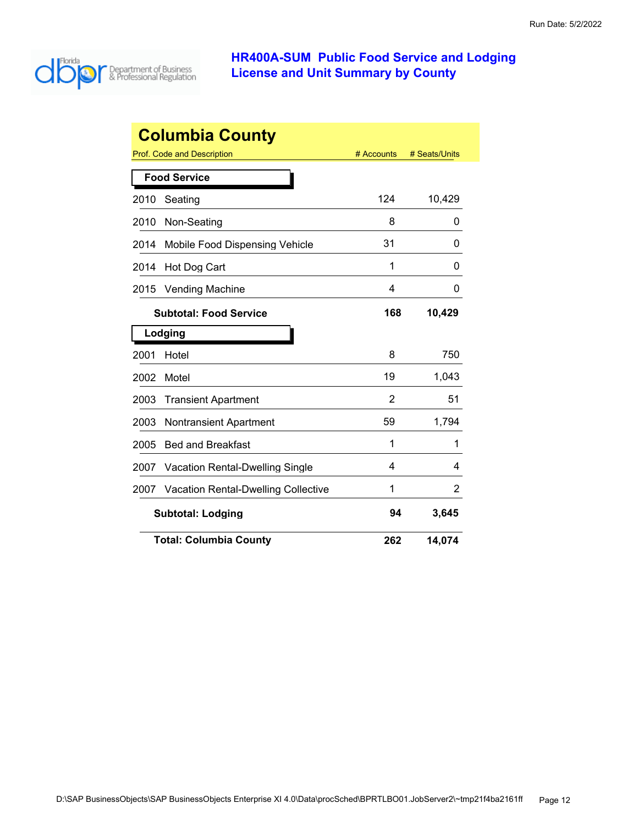

| <b>Columbia County</b> |                                            |            |               |
|------------------------|--------------------------------------------|------------|---------------|
|                        | Prof. Code and Description                 | # Accounts | # Seats/Units |
|                        | <b>Food Service</b>                        |            |               |
| 2010                   | Seating                                    | 124        | 10,429        |
| 2010                   | Non-Seating                                | 8          | 0             |
| 2014                   | Mobile Food Dispensing Vehicle             | 31         | 0             |
| 2014                   | Hot Dog Cart                               | 1          | 0             |
| 2015                   | <b>Vending Machine</b>                     | 4          | 0             |
|                        | <b>Subtotal: Food Service</b>              | 168        | 10,429        |
|                        | Lodging                                    |            |               |
| 2001                   | Hotel                                      | 8          | 750           |
| 2002                   | Motel                                      | 19         | 1,043         |
| 2003                   | <b>Transient Apartment</b>                 | 2          | 51            |
| 2003                   | <b>Nontransient Apartment</b>              | 59         | 1,794         |
| 2005                   | <b>Bed and Breakfast</b>                   | 1          | 1             |
| 2007                   | <b>Vacation Rental-Dwelling Single</b>     | 4          | 4             |
| 2007                   | <b>Vacation Rental-Dwelling Collective</b> | 1          | 2             |
|                        | <b>Subtotal: Lodging</b>                   | 94         | 3,645         |
|                        | <b>Total: Columbia County</b>              | 262        | 14,074        |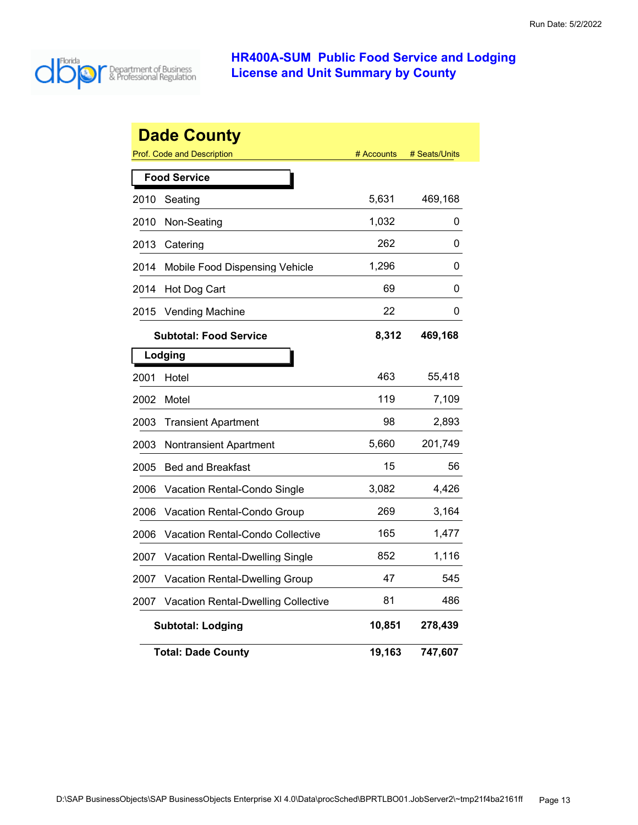

|      | <b>Dade County</b><br><b>Prof. Code and Description</b> | # Accounts | # Seats/Units |
|------|---------------------------------------------------------|------------|---------------|
|      | <b>Food Service</b>                                     |            |               |
| 2010 | Seating                                                 | 5,631      | 469,168       |
| 2010 | Non-Seating                                             | 1,032      | 0             |
| 2013 | Catering                                                | 262        | 0             |
| 2014 | Mobile Food Dispensing Vehicle                          | 1,296      | 0             |
| 2014 | Hot Dog Cart                                            | 69         | 0             |
| 2015 | <b>Vending Machine</b>                                  | 22         | 0             |
|      | <b>Subtotal: Food Service</b>                           | 8,312      | 469,168       |
|      | Lodging                                                 |            |               |
| 2001 | Hotel                                                   | 463        | 55,418        |
| 2002 | Motel                                                   | 119        | 7,109         |
| 2003 | <b>Transient Apartment</b>                              | 98         | 2,893         |
| 2003 | <b>Nontransient Apartment</b>                           | 5,660      | 201,749       |
| 2005 | <b>Bed and Breakfast</b>                                | 15         | 56            |
| 2006 | Vacation Rental-Condo Single                            | 3,082      | 4,426         |
| 2006 | Vacation Rental-Condo Group                             | 269        | 3,164         |
| 2006 | <b>Vacation Rental-Condo Collective</b>                 | 165        | 1,477         |
| 2007 | <b>Vacation Rental-Dwelling Single</b>                  | 852        | 1,116         |
| 2007 | Vacation Rental-Dwelling Group                          | 47         | 545           |
| 2007 | <b>Vacation Rental-Dwelling Collective</b>              | 81         | 486           |
|      | <b>Subtotal: Lodging</b>                                | 10,851     | 278,439       |
|      | <b>Total: Dade County</b>                               | 19,163     | 747,607       |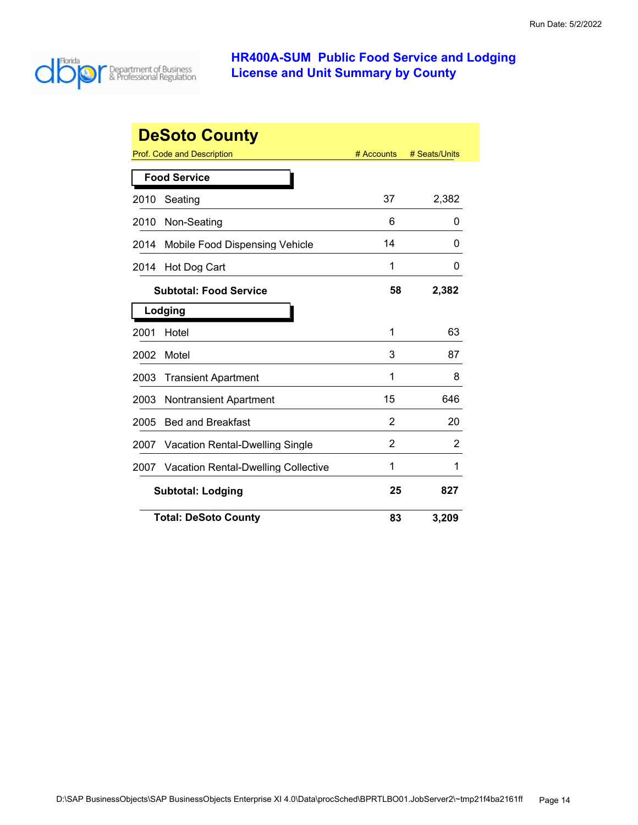

|      | <b>DeSoto County</b>                       |            |               |
|------|--------------------------------------------|------------|---------------|
|      | Prof. Code and Description                 | # Accounts | # Seats/Units |
|      | <b>Food Service</b>                        |            |               |
| 2010 | Seating                                    | 37         | 2,382         |
| 2010 | Non-Seating                                | 6          | 0             |
| 2014 | Mobile Food Dispensing Vehicle             | 14         | 0             |
| 2014 | Hot Dog Cart                               | 1          | 0             |
|      | <b>Subtotal: Food Service</b>              | 58         | 2,382         |
|      | Lodging                                    |            |               |
| 2001 | Hotel                                      | 1          | 63            |
| 2002 | Motel                                      | 3          | 87            |
| 2003 | <b>Transient Apartment</b>                 | 1          | 8             |
| 2003 | <b>Nontransient Apartment</b>              | 15         | 646           |
| 2005 | <b>Bed and Breakfast</b>                   | 2          | 20            |
| 2007 | Vacation Rental-Dwelling Single            | 2          | 2             |
| 2007 | <b>Vacation Rental-Dwelling Collective</b> | 1          | 1             |
|      | <b>Subtotal: Lodging</b>                   |            | 827           |
|      | <b>Total: DeSoto County</b>                | 83         | 3,209         |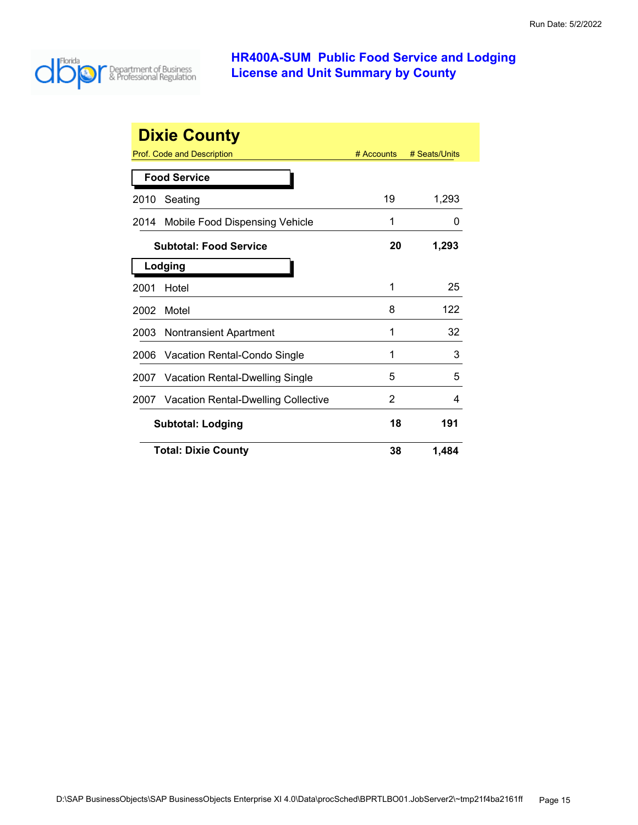

|      | <b>Dixie County</b>                        |              |               |
|------|--------------------------------------------|--------------|---------------|
|      | Prof. Code and Description                 | $#$ Accounts | # Seats/Units |
|      | <b>Food Service</b>                        |              |               |
| 2010 | Seating                                    | 19           | 1,293         |
| 2014 | Mobile Food Dispensing Vehicle             | 1            | $\Omega$      |
|      | <b>Subtotal: Food Service</b>              | 20           | 1,293         |
|      | Lodging                                    |              |               |
| 2001 | Hotel                                      | 1            | 25            |
| 2002 | Motel                                      | 8            | 122           |
| 2003 | <b>Nontransient Apartment</b>              | 1            | 32            |
| 2006 | Vacation Rental-Condo Single               | 1            | 3             |
| 2007 | <b>Vacation Rental-Dwelling Single</b>     | 5            | 5             |
| 2007 | <b>Vacation Rental-Dwelling Collective</b> | 2            | 4             |
|      | <b>Subtotal: Lodging</b>                   | 18           | 191           |
|      | <b>Total: Dixie County</b>                 | 38           | 1,484         |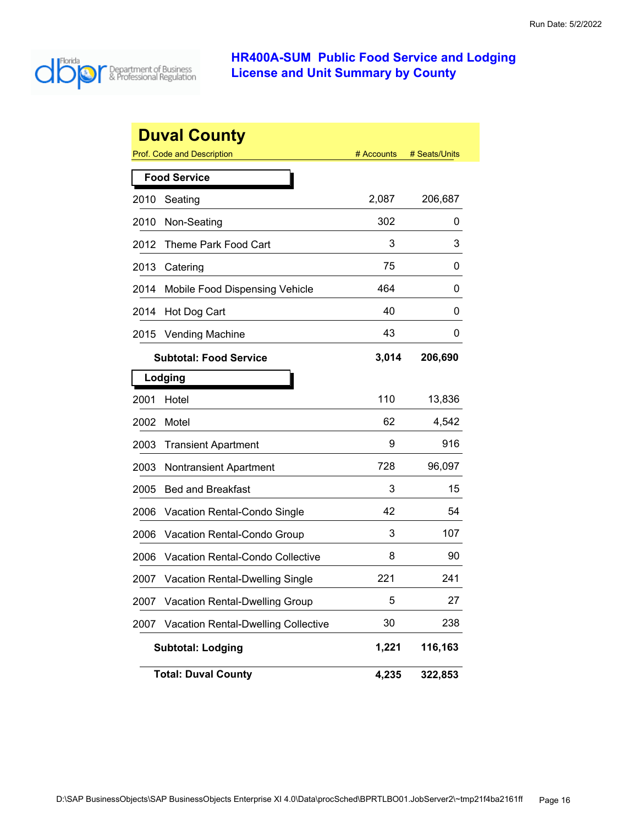

|      | <b>Duval County</b>                        |            |               |
|------|--------------------------------------------|------------|---------------|
|      | <b>Prof. Code and Description</b>          | # Accounts | # Seats/Units |
|      | <b>Food Service</b>                        |            |               |
| 2010 | Seating                                    | 2,087      | 206,687       |
| 2010 | Non-Seating                                | 302        | 0             |
| 2012 | <b>Theme Park Food Cart</b>                | 3          | 3             |
| 2013 | Catering                                   | 75         | 0             |
| 2014 | Mobile Food Dispensing Vehicle             | 464        | 0             |
| 2014 | Hot Dog Cart                               | 40         | 0             |
| 2015 | <b>Vending Machine</b>                     | 43         | 0             |
|      | <b>Subtotal: Food Service</b>              | 3,014      | 206,690       |
|      | Lodging                                    |            |               |
| 2001 | Hotel                                      | 110        | 13,836        |
| 2002 | Motel                                      | 62         | 4,542         |
| 2003 | <b>Transient Apartment</b>                 | 9          | 916           |
| 2003 | <b>Nontransient Apartment</b>              | 728        | 96,097        |
| 2005 | <b>Bed and Breakfast</b>                   | 3          | 15            |
| 2006 | Vacation Rental-Condo Single               | 42         | 54            |
| 2006 | Vacation Rental-Condo Group                | 3          | 107           |
| 2006 | Vacation Rental-Condo Collective           | 8          | 90            |
| 2007 | <b>Vacation Rental-Dwelling Single</b>     | 221        | 241           |
| 2007 | Vacation Rental-Dwelling Group             | 5          | 27            |
| 2007 | <b>Vacation Rental-Dwelling Collective</b> | 30         | 238           |
|      | <b>Subtotal: Lodging</b>                   | 1,221      | 116,163       |
|      | <b>Total: Duval County</b>                 | 4,235      | 322,853       |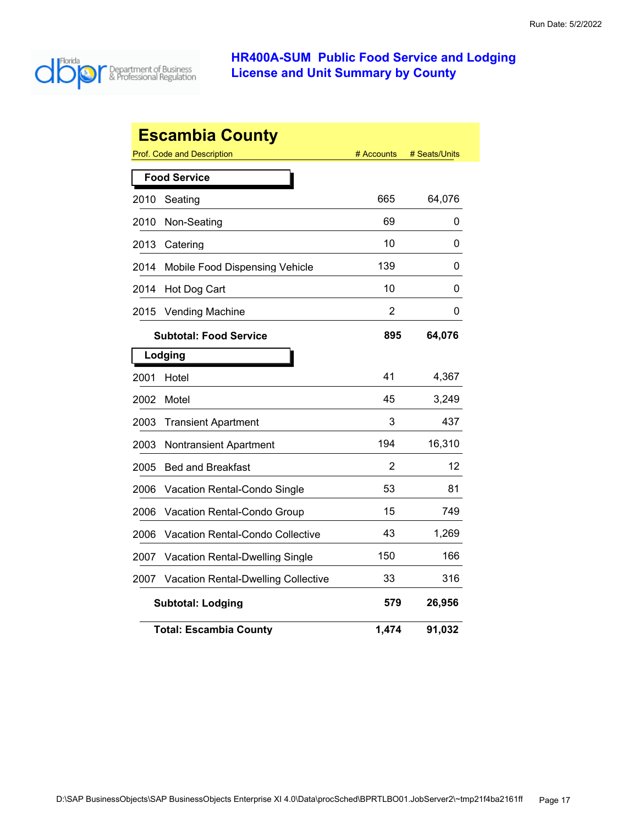

| <b>Escambia County</b> |                                            |            |               |  |
|------------------------|--------------------------------------------|------------|---------------|--|
|                        | Prof. Code and Description                 | # Accounts | # Seats/Units |  |
|                        | <b>Food Service</b>                        |            |               |  |
| 2010                   | Seating                                    | 665        | 64,076        |  |
| 2010                   | Non-Seating                                | 69         | 0             |  |
| 2013                   | Catering                                   | 10         | 0             |  |
| 2014                   | Mobile Food Dispensing Vehicle             | 139        | 0             |  |
| 2014                   | Hot Dog Cart                               | 10         | 0             |  |
| 2015                   | <b>Vending Machine</b>                     | 2          | 0             |  |
|                        | <b>Subtotal: Food Service</b>              | 895        | 64,076        |  |
|                        | Lodging                                    |            |               |  |
| 2001                   | Hotel                                      | 41         | 4,367         |  |
| 2002                   | Motel                                      | 45         | 3,249         |  |
| 2003                   | <b>Transient Apartment</b>                 | 3          | 437           |  |
| 2003                   | <b>Nontransient Apartment</b>              | 194        | 16,310        |  |
| 2005                   | <b>Bed and Breakfast</b>                   | 2          | 12            |  |
| 2006                   | Vacation Rental-Condo Single               | 53         | 81            |  |
| 2006                   | Vacation Rental-Condo Group                | 15         | 749           |  |
| 2006                   | Vacation Rental-Condo Collective           | 43         | 1,269         |  |
| 2007                   | Vacation Rental-Dwelling Single            | 150        | 166           |  |
| 2007                   | <b>Vacation Rental-Dwelling Collective</b> | 33         | 316           |  |
|                        | <b>Subtotal: Lodging</b>                   | 579        | 26,956        |  |
|                        | <b>Total: Escambia County</b>              | 1,474      | 91,032        |  |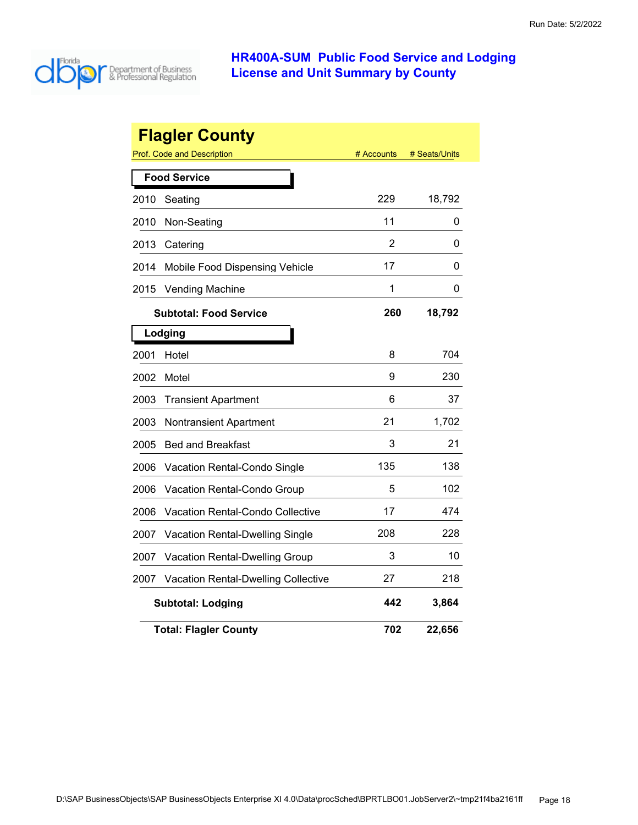

|      | <b>Flagler County</b><br><b>Prof. Code and Description</b> | # Accounts | # Seats/Units |
|------|------------------------------------------------------------|------------|---------------|
|      |                                                            |            |               |
|      | <b>Food Service</b>                                        |            |               |
| 2010 | Seating                                                    | 229        | 18,792        |
| 2010 | Non-Seating                                                | 11         | 0             |
| 2013 | Catering                                                   | 2          | 0             |
| 2014 | Mobile Food Dispensing Vehicle                             | 17         | 0             |
| 2015 | <b>Vending Machine</b>                                     | 1          | 0             |
|      | <b>Subtotal: Food Service</b>                              | 260        | 18,792        |
|      | Lodging                                                    |            |               |
| 2001 | Hotel                                                      | 8          | 704           |
| 2002 | Motel                                                      | 9          | 230           |
| 2003 | <b>Transient Apartment</b>                                 | 6          | 37            |
| 2003 | <b>Nontransient Apartment</b>                              | 21         | 1,702         |
| 2005 | <b>Bed and Breakfast</b>                                   | 3          | 21            |
| 2006 | Vacation Rental-Condo Single                               | 135        | 138           |
| 2006 | Vacation Rental-Condo Group                                | 5          | 102           |
| 2006 | Vacation Rental-Condo Collective                           | 17         | 474           |
| 2007 | Vacation Rental-Dwelling Single                            | 208        | 228           |
| 2007 | Vacation Rental-Dwelling Group                             | 3          | 10            |
| 2007 | <b>Vacation Rental-Dwelling Collective</b>                 | 27         | 218           |
|      | <b>Subtotal: Lodging</b>                                   | 442        | 3,864         |
|      | <b>Total: Flagler County</b>                               | 702        | 22,656        |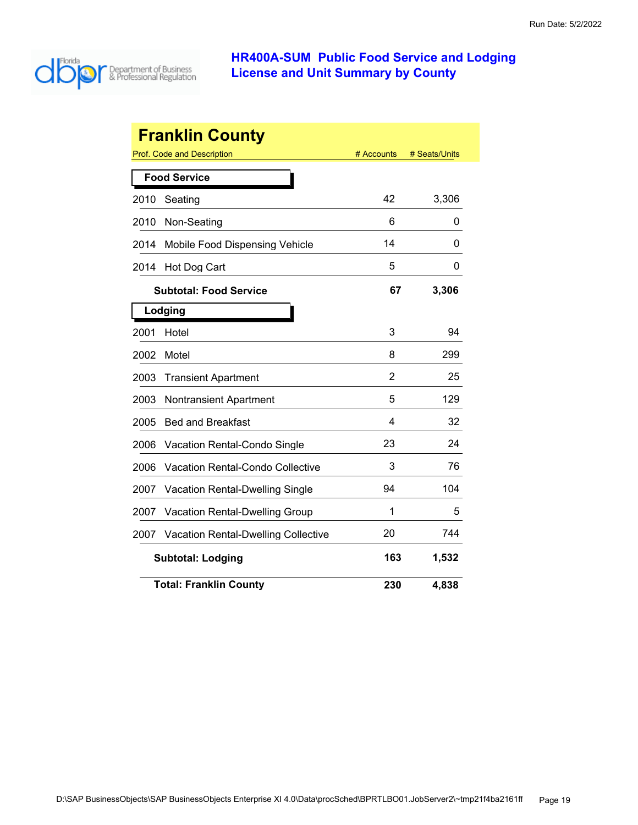

|      | <b>Franklin County</b>                     |                |               |
|------|--------------------------------------------|----------------|---------------|
|      | Prof. Code and Description                 | # Accounts     | # Seats/Units |
|      | <b>Food Service</b>                        |                |               |
| 2010 | Seating                                    | 42             | 3,306         |
| 2010 | Non-Seating                                | 6              | 0             |
| 2014 | <b>Mobile Food Dispensing Vehicle</b>      | 14             | 0             |
| 2014 | Hot Dog Cart                               | 5              | 0             |
|      | <b>Subtotal: Food Service</b>              | 67             | 3,306         |
|      | Lodging                                    |                |               |
| 2001 | Hotel                                      | 3              | 94            |
| 2002 | Motel                                      | 8              | 299           |
| 2003 | <b>Transient Apartment</b>                 | $\overline{2}$ | 25            |
| 2003 | <b>Nontransient Apartment</b>              | 5              | 129           |
| 2005 | <b>Bed and Breakfast</b>                   | 4              | 32            |
| 2006 | Vacation Rental-Condo Single               | 23             | 24            |
| 2006 | <b>Vacation Rental-Condo Collective</b>    | 3              | 76            |
| 2007 | <b>Vacation Rental-Dwelling Single</b>     | 94             | 104           |
| 2007 | <b>Vacation Rental-Dwelling Group</b>      | 1              | 5             |
| 2007 | <b>Vacation Rental-Dwelling Collective</b> | 20             | 744           |
|      | <b>Subtotal: Lodging</b>                   | 163            | 1,532         |
|      | <b>Total: Franklin County</b>              | 230            | 4,838         |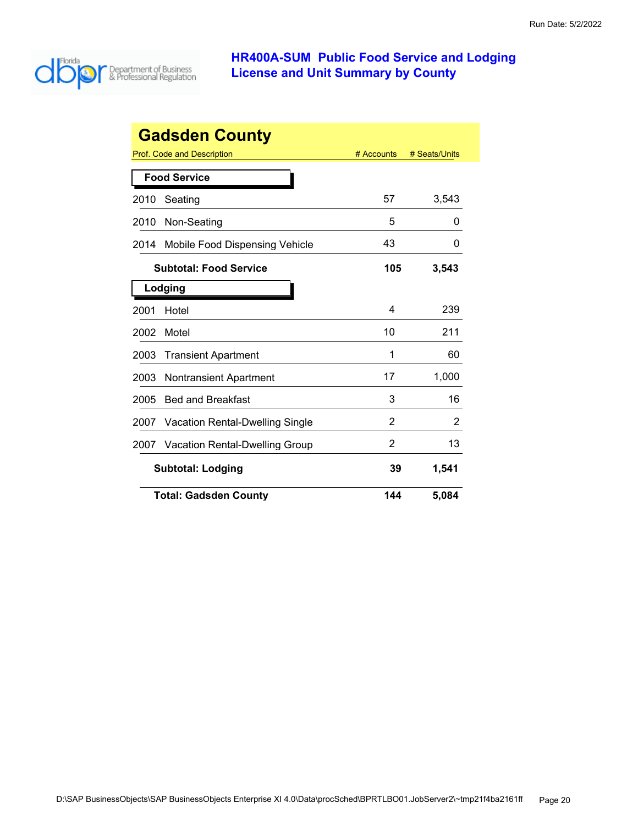

|      | <b>Gadsden County</b>                  |            |               |
|------|----------------------------------------|------------|---------------|
|      | Prof. Code and Description             | # Accounts | # Seats/Units |
|      | <b>Food Service</b>                    |            |               |
| 2010 | Seating                                | 57         | 3,543         |
| 2010 | Non-Seating                            | 5          | O             |
| 2014 | Mobile Food Dispensing Vehicle         | 43         | 0             |
|      | <b>Subtotal: Food Service</b>          | 105        | 3,543         |
|      | Lodging                                |            |               |
| 2001 | Hotel                                  | 4          | 239           |
| 2002 | Motel                                  | 10         | 211           |
| 2003 | <b>Transient Apartment</b>             | 1          | 60            |
| 2003 | <b>Nontransient Apartment</b>          | 17         | 1,000         |
| 2005 | <b>Bed and Breakfast</b>               | 3          | 16            |
| 2007 | <b>Vacation Rental-Dwelling Single</b> | 2          | 2             |
| 2007 | <b>Vacation Rental-Dwelling Group</b>  | 2          | 13            |
|      | <b>Subtotal: Lodging</b>               | 39         | 1,541         |
|      | <b>Total: Gadsden County</b>           | 144        | 5,084         |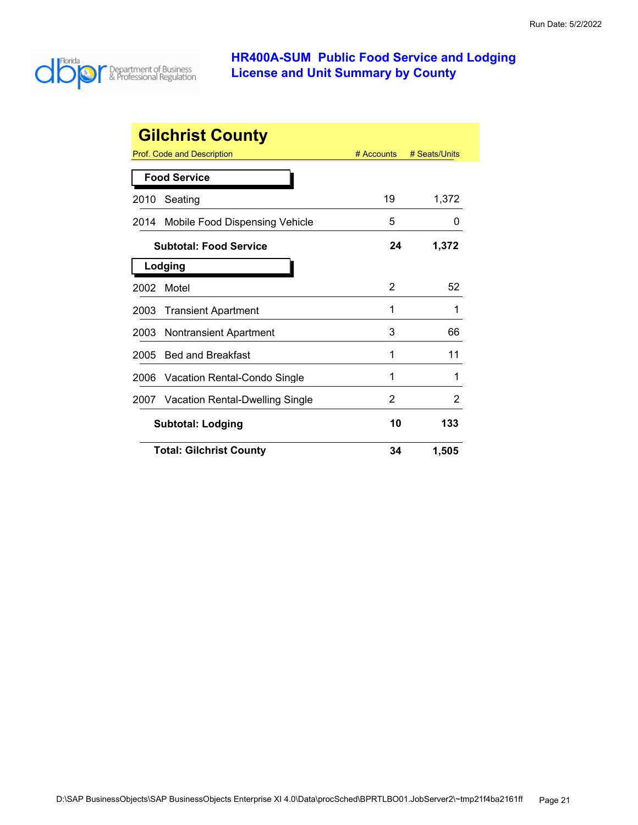

|      | <b>Gilchrist County</b>         |            |               |
|------|---------------------------------|------------|---------------|
|      | Prof. Code and Description      | # Accounts | # Seats/Units |
|      | <b>Food Service</b>             |            |               |
| 2010 | Seating                         | 19         | 1,372         |
| 2014 | Mobile Food Dispensing Vehicle  | 5          | 0             |
|      | <b>Subtotal: Food Service</b>   | 24         | 1,372         |
|      | Lodging                         |            |               |
| 2002 | Motel                           | 2          | 52            |
| 2003 | <b>Transient Apartment</b>      | 1          | 1             |
| 2003 | <b>Nontransient Apartment</b>   | 3          | 66            |
| 2005 | <b>Bed and Breakfast</b>        | 1          | 11            |
| 2006 | Vacation Rental-Condo Single    | 1          | 1             |
| 2007 | Vacation Rental-Dwelling Single | 2          | 2             |
|      | <b>Subtotal: Lodging</b>        | 10         | 133           |
|      | <b>Total: Gilchrist County</b>  | 34         | 1,505         |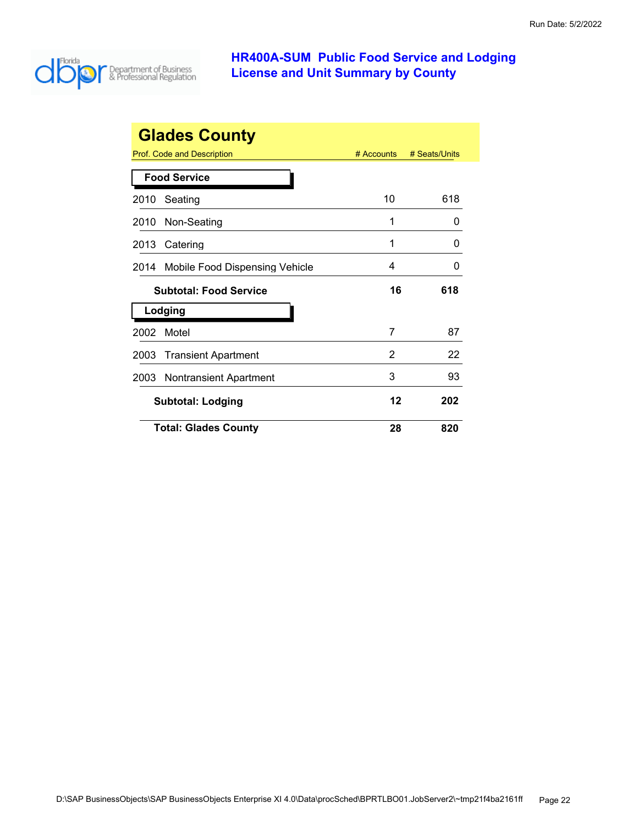

|      | <b>Glades County</b>           |              |               |
|------|--------------------------------|--------------|---------------|
|      | Prof. Code and Description     | $#$ Accounts | # Seats/Units |
|      | <b>Food Service</b>            |              |               |
| 2010 | Seating                        | 10           | 618           |
| 2010 | Non-Seating                    | 1            | O             |
| 2013 | Catering                       | 1            | O             |
| 2014 | Mobile Food Dispensing Vehicle | 4            | O             |
|      | <b>Subtotal: Food Service</b>  | 16           | 618           |
|      | Lodging                        |              |               |
| 2002 | Motel                          | 7            | 87            |
| 2003 | <b>Transient Apartment</b>     | 2            | 22            |
| 2003 | <b>Nontransient Apartment</b>  | 3            | 93            |
|      |                                |              |               |
|      | <b>Subtotal: Lodging</b>       | 12           | 202           |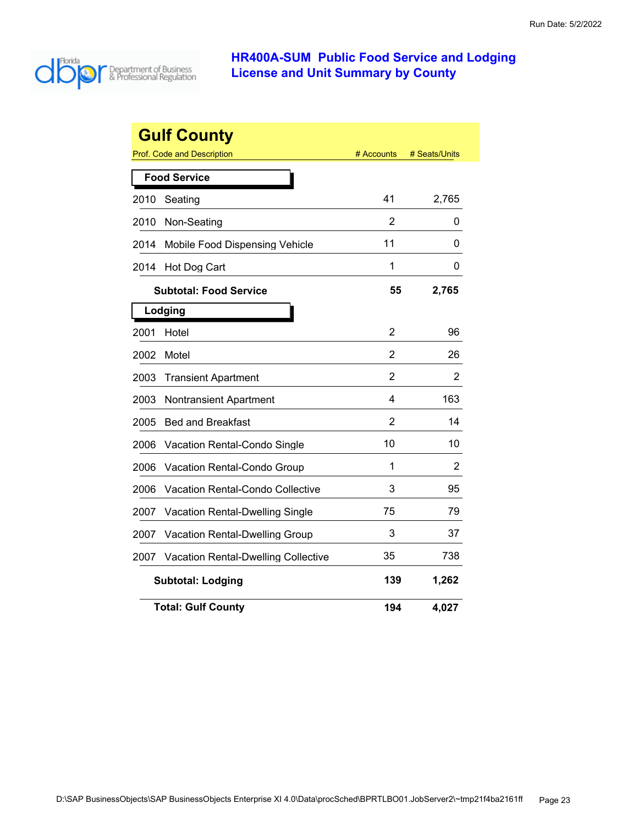

|      | <b>Gulf County</b>                         |                |               |
|------|--------------------------------------------|----------------|---------------|
|      | <b>Prof. Code and Description</b>          | # Accounts     | # Seats/Units |
|      | <b>Food Service</b>                        |                |               |
| 2010 | Seating                                    | 41             | 2,765         |
| 2010 | Non-Seating                                | 2              | 0             |
| 2014 | Mobile Food Dispensing Vehicle             | 11             | 0             |
| 2014 | Hot Dog Cart                               | 1              | 0             |
|      | <b>Subtotal: Food Service</b>              | 55             | 2,765         |
|      | Lodging                                    |                |               |
| 2001 | Hotel                                      | $\overline{2}$ | 96            |
| 2002 | Motel                                      | 2              | 26            |
| 2003 | <b>Transient Apartment</b>                 | 2              | 2             |
| 2003 | <b>Nontransient Apartment</b>              | 4              | 163           |
| 2005 | <b>Bed and Breakfast</b>                   | 2              | 14            |
| 2006 | <b>Vacation Rental-Condo Single</b>        | 10             | 10            |
| 2006 | Vacation Rental-Condo Group                | 1              | 2             |
| 2006 | <b>Vacation Rental-Condo Collective</b>    | 3              | 95            |
| 2007 | Vacation Rental-Dwelling Single            | 75             | 79            |
| 2007 | Vacation Rental-Dwelling Group             | 3              | 37            |
| 2007 | <b>Vacation Rental-Dwelling Collective</b> | 35             | 738           |
|      | <b>Subtotal: Lodging</b>                   | 139            | 1,262         |
|      | <b>Total: Gulf County</b>                  | 194            | 4,027         |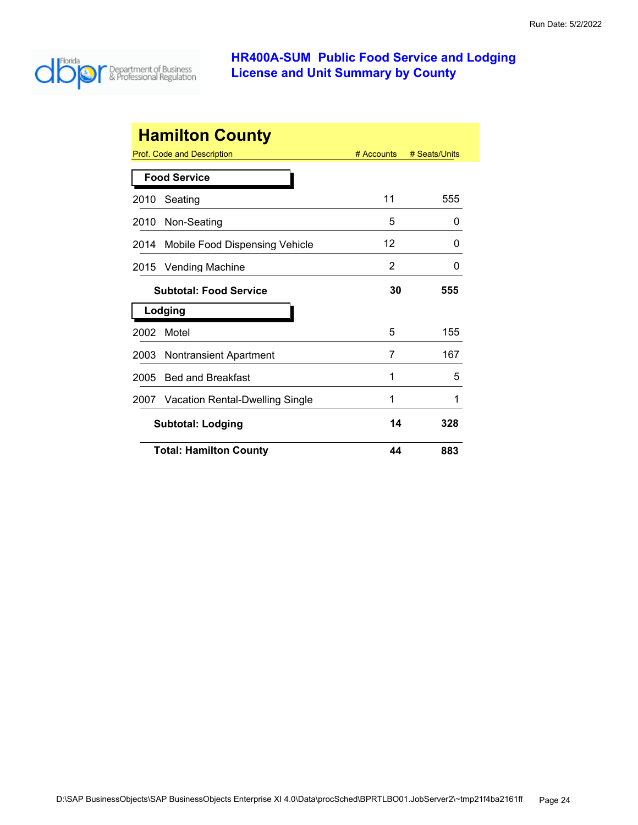

|      | <b>Hamilton County</b>          |            |               |
|------|---------------------------------|------------|---------------|
|      | Prof. Code and Description      | # Accounts | # Seats/Units |
|      | <b>Food Service</b>             |            |               |
| 2010 | Seating                         | 11         | 555           |
| 2010 | Non-Seating                     | 5          | 0             |
| 2014 | Mobile Food Dispensing Vehicle  | 12         | O             |
| 2015 | <b>Vending Machine</b>          | 2          | 0             |
|      | <b>Subtotal: Food Service</b>   | 30         | 555           |
|      | Lodging                         |            |               |
| 2002 | Motel                           | 5          | 155           |
| 2003 | Nontransient Apartment          | 7          | 167           |
| 2005 | <b>Bed and Breakfast</b>        | 1          | 5             |
| 2007 | Vacation Rental-Dwelling Single | 1          | 1             |
|      | <b>Subtotal: Lodging</b>        | 14         | 328           |
|      | <b>Total: Hamilton County</b>   | 44         | 883           |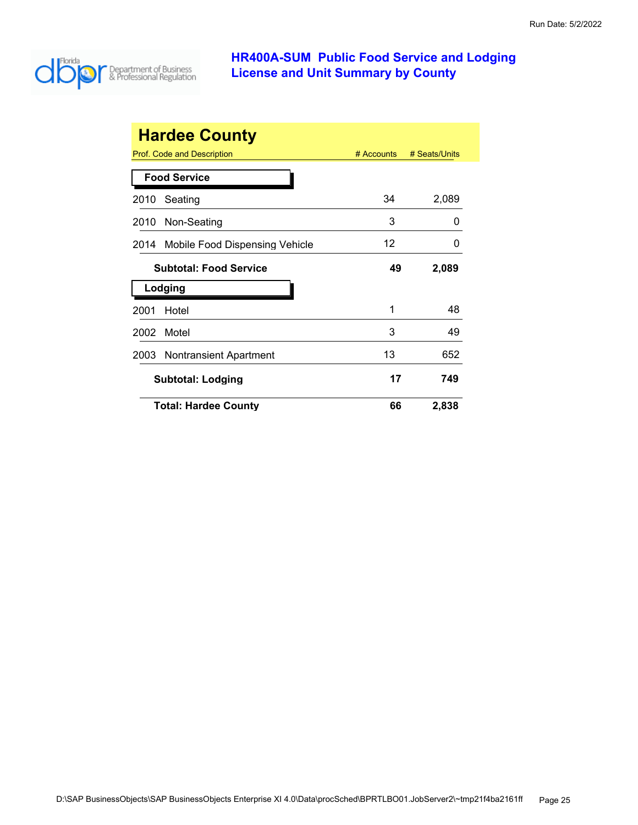

|      | <b>Hardee County</b>           |              |               |
|------|--------------------------------|--------------|---------------|
|      | Prof. Code and Description     | $#$ Accounts | # Seats/Units |
|      | <b>Food Service</b>            |              |               |
| 2010 | Seating                        | 34           | 2,089         |
| 2010 | Non-Seating                    | 3            | O             |
| 2014 | Mobile Food Dispensing Vehicle | 12           | $\Omega$      |
|      | <b>Subtotal: Food Service</b>  | 49           | 2,089         |
|      | Lodging                        |              |               |
| 2001 | Hotel                          | 1            | 48            |
| 2002 | Motel                          | 3            | 49            |
| 2003 | Nontransient Apartment         | 13           | 652           |
|      | <b>Subtotal: Lodging</b>       | 17           | 749           |
|      | <b>Total: Hardee County</b>    | 66           | 2,838         |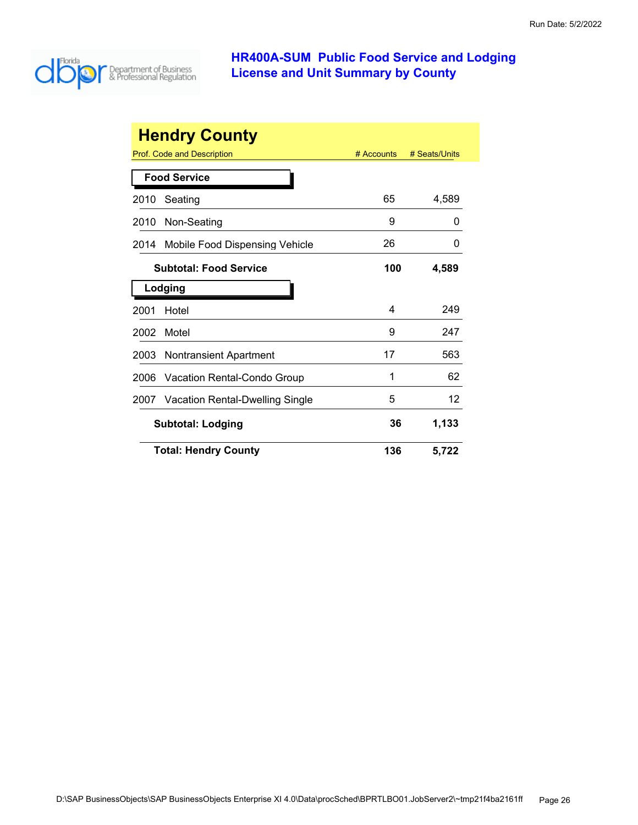

|      | <b>Hendry County</b>            |            |               |
|------|---------------------------------|------------|---------------|
|      | Prof. Code and Description      | # Accounts | # Seats/Units |
|      | <b>Food Service</b>             |            |               |
| 2010 | Seating                         | 65         | 4,589         |
| 2010 | Non-Seating                     | 9          | 0             |
| 2014 | Mobile Food Dispensing Vehicle  | 26         | 0             |
|      | <b>Subtotal: Food Service</b>   | 100        | 4,589         |
|      | Lodging                         |            |               |
| 2001 | Hotel                           | 4          | 249           |
| 2002 | Motel                           | 9          | 247           |
| 2003 | Nontransient Apartment          | 17         | 563           |
| 2006 | Vacation Rental-Condo Group     | 1          | 62            |
| 2007 | Vacation Rental-Dwelling Single | 5          | 12            |
|      | <b>Subtotal: Lodging</b>        | 36         | 1,133         |
|      | <b>Total: Hendry County</b>     | 136        | 5,722         |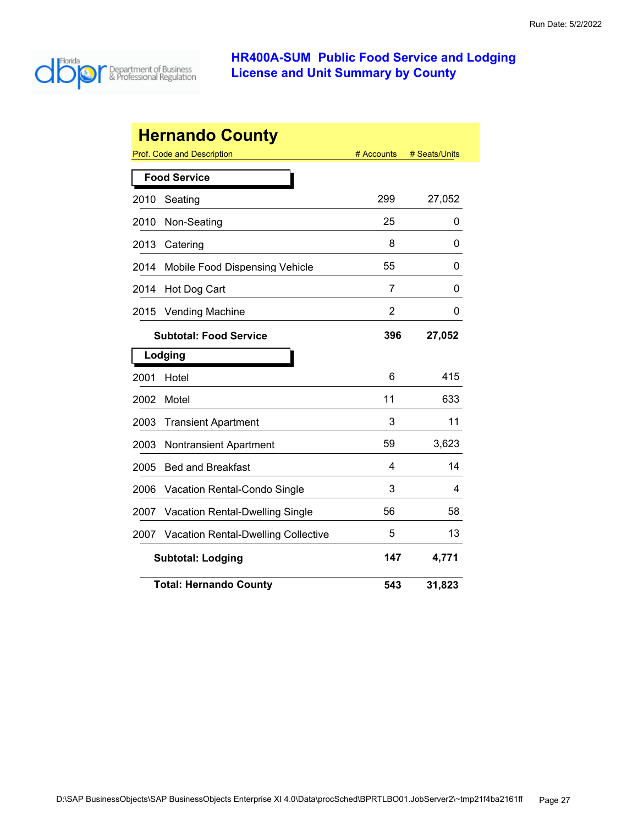

|      | <b>Hernando County</b>                     |            |               |
|------|--------------------------------------------|------------|---------------|
|      | Prof. Code and Description                 | # Accounts | # Seats/Units |
|      | <b>Food Service</b>                        |            |               |
| 2010 | Seating                                    | 299        | 27,052        |
| 2010 | Non-Seating                                | 25         | 0             |
| 2013 | Catering                                   | 8          | 0             |
| 2014 | Mobile Food Dispensing Vehicle             | 55         | 0             |
| 2014 | Hot Dog Cart                               | 7          | 0             |
| 2015 | <b>Vending Machine</b>                     | 2          | 0             |
|      | <b>Subtotal: Food Service</b>              | 396        | 27,052        |
|      | Lodging                                    |            |               |
| 2001 | Hotel                                      | 6          | 415           |
| 2002 | Motel                                      | 11         | 633           |
| 2003 | <b>Transient Apartment</b>                 | 3          | 11            |
| 2003 | <b>Nontransient Apartment</b>              | 59         | 3,623         |
| 2005 | <b>Bed and Breakfast</b>                   | 4          | 14            |
| 2006 | Vacation Rental-Condo Single               | 3          | 4             |
| 2007 | Vacation Rental-Dwelling Single            | 56         | 58            |
| 2007 | <b>Vacation Rental-Dwelling Collective</b> | 5          | 13            |
|      | <b>Subtotal: Lodging</b>                   | 147        | 4,771         |
|      | <b>Total: Hernando County</b>              | 543        | 31,823        |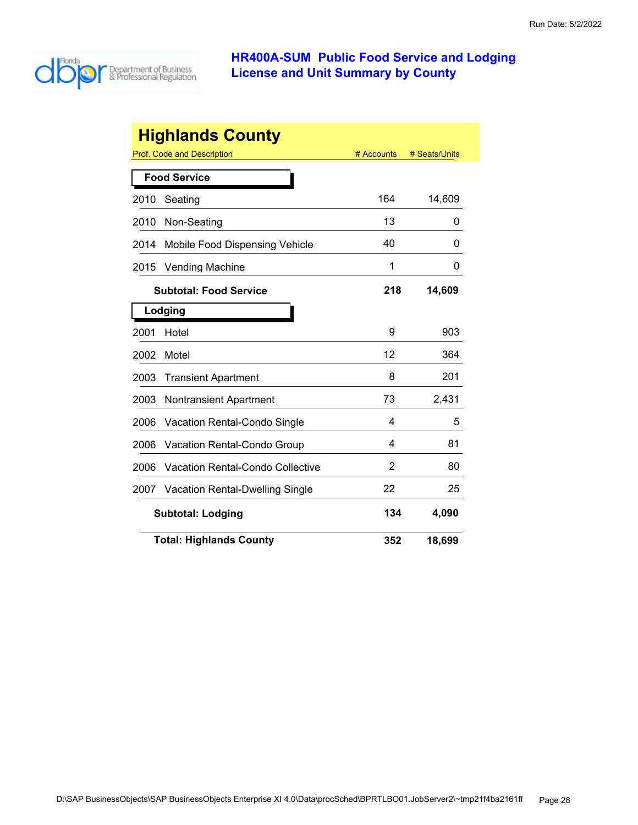

|      | <b>Highlands County</b>                |            |               |
|------|----------------------------------------|------------|---------------|
|      | Prof. Code and Description             | # Accounts | # Seats/Units |
|      | <b>Food Service</b>                    |            |               |
| 2010 | Seating                                | 164        | 14,609        |
| 2010 | Non-Seating                            | 13         | 0             |
| 2014 | Mobile Food Dispensing Vehicle         | 40         | 0             |
| 2015 | <b>Vending Machine</b>                 | 1          | 0             |
|      | <b>Subtotal: Food Service</b>          | 218        | 14,609        |
|      | Lodging                                |            |               |
| 2001 | Hotel                                  | 9          | 903           |
| 2002 | Motel                                  | 12         | 364           |
| 2003 | <b>Transient Apartment</b>             | 8          | 201           |
| 2003 | <b>Nontransient Apartment</b>          | 73         | 2,431         |
| 2006 | <b>Vacation Rental-Condo Single</b>    | 4          | 5             |
| 2006 | Vacation Rental-Condo Group            | 4          | 81            |
| 2006 | Vacation Rental-Condo Collective       | 2          | 80            |
| 2007 | <b>Vacation Rental-Dwelling Single</b> | 22         | 25            |
|      | <b>Subtotal: Lodging</b>               | 134        | 4,090         |
|      | <b>Total: Highlands County</b>         | 352        | 18,699        |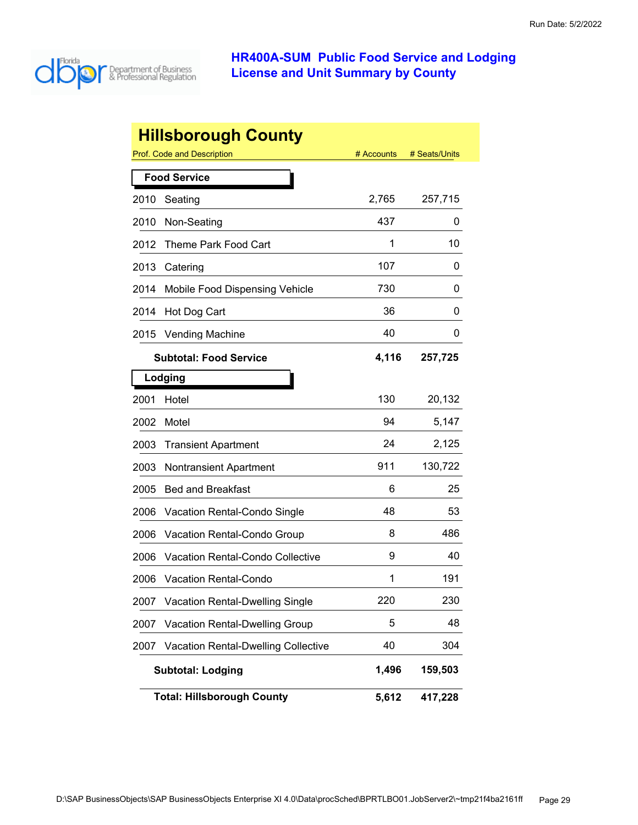

|      | <b>Hillsborough County</b>                 |            |               |
|------|--------------------------------------------|------------|---------------|
|      | <b>Prof. Code and Description</b>          | # Accounts | # Seats/Units |
|      | <b>Food Service</b>                        |            |               |
| 2010 | Seating                                    | 2,765      | 257,715       |
| 2010 | Non-Seating                                | 437        | 0             |
| 2012 | Theme Park Food Cart                       | 1          | 10            |
| 2013 | Catering                                   | 107        | 0             |
| 2014 | Mobile Food Dispensing Vehicle             | 730        | 0             |
| 2014 | Hot Dog Cart                               | 36         | 0             |
| 2015 | <b>Vending Machine</b>                     | 40         | Ü             |
|      | <b>Subtotal: Food Service</b>              | 4,116      | 257,725       |
|      | Lodging                                    |            |               |
| 2001 | Hotel                                      | 130        | 20,132        |
| 2002 | Motel                                      | 94         | 5,147         |
| 2003 | <b>Transient Apartment</b>                 | 24         | 2,125         |
| 2003 | <b>Nontransient Apartment</b>              | 911        | 130,722       |
| 2005 | <b>Bed and Breakfast</b>                   | 6          | 25            |
| 2006 | Vacation Rental-Condo Single               | 48         | 53            |
| 2006 | <b>Vacation Rental-Condo Group</b>         | 8          | 486           |
| 2006 | <b>Vacation Rental-Condo Collective</b>    | 9          | 40            |
| 2006 | <b>Vacation Rental-Condo</b>               | 1          | 191           |
| 2007 | <b>Vacation Rental-Dwelling Single</b>     | 220        | 230           |
| 2007 | Vacation Rental-Dwelling Group             | 5          | 48            |
| 2007 | <b>Vacation Rental-Dwelling Collective</b> | 40         | 304           |
|      | <b>Subtotal: Lodging</b>                   | 1,496      | 159,503       |
|      | <b>Total: Hillsborough County</b>          | 5,612      | 417,228       |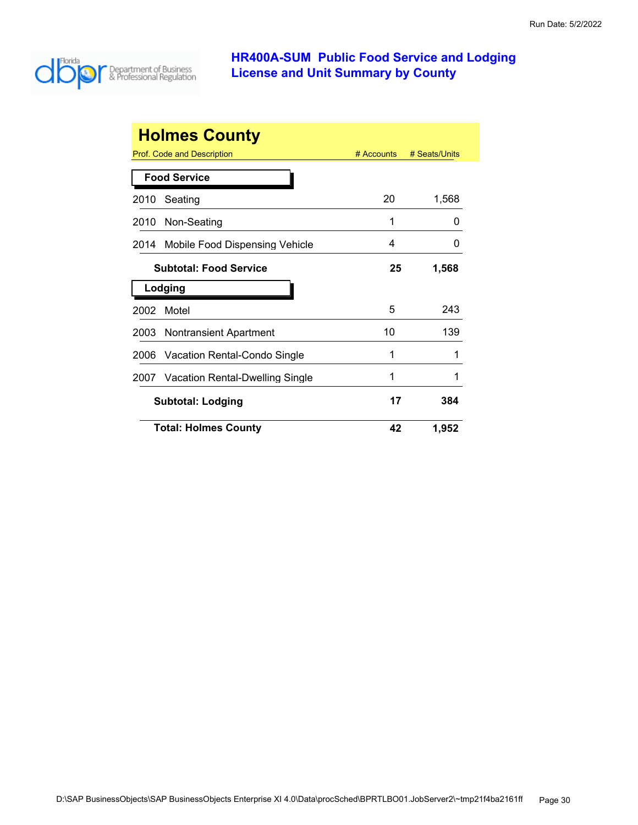

|      | <b>Holmes County</b>              |              |               |
|------|-----------------------------------|--------------|---------------|
|      | <b>Prof. Code and Description</b> | $#$ Accounts | # Seats/Units |
|      | <b>Food Service</b>               |              |               |
| 2010 | Seating                           | 20           | 1,568         |
| 2010 | Non-Seating                       | 1            | O             |
| 2014 | Mobile Food Dispensing Vehicle    | 4            | 0             |
|      | <b>Subtotal: Food Service</b>     | 25           | 1,568         |
|      |                                   |              |               |
|      | Lodging                           |              |               |
| 2002 | Motel                             | 5            | 243           |
| 2003 | Nontransient Apartment            | 10           | 139           |
| 2006 | Vacation Rental-Condo Single      | 1            |               |
| 2007 | Vacation Rental-Dwelling Single   |              |               |
|      | <b>Subtotal: Lodging</b>          | 17           | 384           |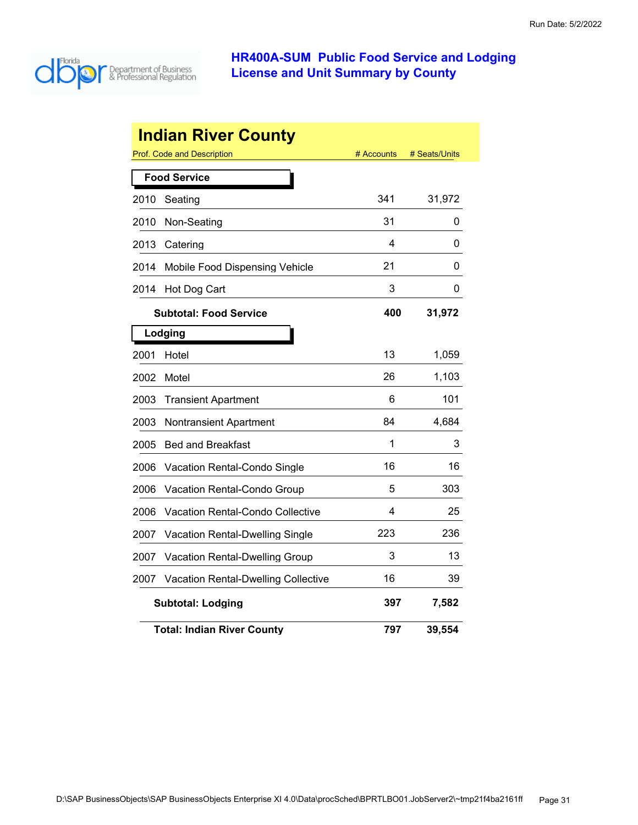

|      | <b>Indian River County</b><br>Prof. Code and Description | # Accounts | # Seats/Units |
|------|----------------------------------------------------------|------------|---------------|
|      | <b>Food Service</b>                                      |            |               |
| 2010 | Seating                                                  | 341        | 31,972        |
| 2010 | Non-Seating                                              | 31         | 0             |
| 2013 | Catering                                                 | 4          | 0             |
| 2014 | Mobile Food Dispensing Vehicle                           | 21         | 0             |
| 2014 | Hot Dog Cart                                             | 3          | 0             |
|      | <b>Subtotal: Food Service</b>                            | 400        | 31,972        |
|      | Lodging                                                  |            |               |
| 2001 | Hotel                                                    | 13         | 1,059         |
| 2002 | Motel                                                    | 26         | 1,103         |
| 2003 | <b>Transient Apartment</b>                               | 6          | 101           |
| 2003 | Nontransient Apartment                                   | 84         | 4,684         |
| 2005 | <b>Bed and Breakfast</b>                                 | 1          | 3             |
| 2006 | Vacation Rental-Condo Single                             | 16         | 16            |
| 2006 | Vacation Rental-Condo Group                              | 5          | 303           |
| 2006 | <b>Vacation Rental-Condo Collective</b>                  | 4          | 25            |
| 2007 | Vacation Rental-Dwelling Single                          | 223        | 236           |
| 2007 | <b>Vacation Rental-Dwelling Group</b>                    | 3          | 13            |
| 2007 | <b>Vacation Rental-Dwelling Collective</b>               | 16         | 39            |
|      | <b>Subtotal: Lodging</b>                                 | 397        | 7,582         |
|      | <b>Total: Indian River County</b>                        | 797        | 39,554        |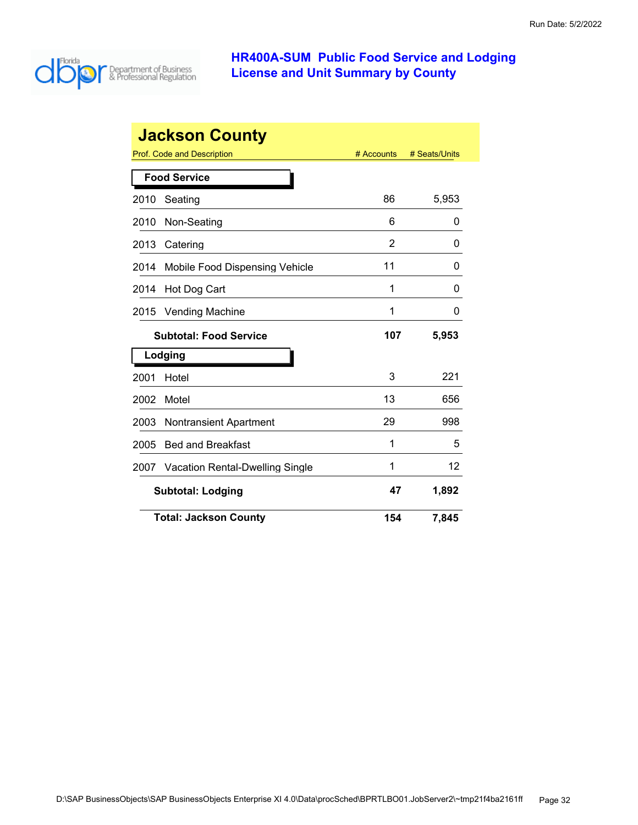

|      | <b>Jackson County</b>           |            |               |
|------|---------------------------------|------------|---------------|
|      | Prof. Code and Description      | # Accounts | # Seats/Units |
|      | <b>Food Service</b>             |            |               |
| 2010 | Seating                         | 86         | 5,953         |
| 2010 | Non-Seating                     | 6          | 0             |
| 2013 | Catering                        | 2          | 0             |
| 2014 | Mobile Food Dispensing Vehicle  | 11         | 0             |
| 2014 | Hot Dog Cart                    | 1          | O             |
| 2015 | Vending Machine                 | 1          | 0             |
|      | <b>Subtotal: Food Service</b>   | 107        | 5,953         |
|      | Lodging                         |            |               |
| 2001 | Hotel                           | 3          | 221           |
| 2002 | Motel                           | 13         | 656           |
| 2003 | <b>Nontransient Apartment</b>   | 29         | 998           |
| 2005 | <b>Bed and Breakfast</b>        | 1          | 5             |
| 2007 | Vacation Rental-Dwelling Single | 1          | 12            |
|      | <b>Subtotal: Lodging</b>        | 47         | 1,892         |
|      | <b>Total: Jackson County</b>    | 154        | 7,845         |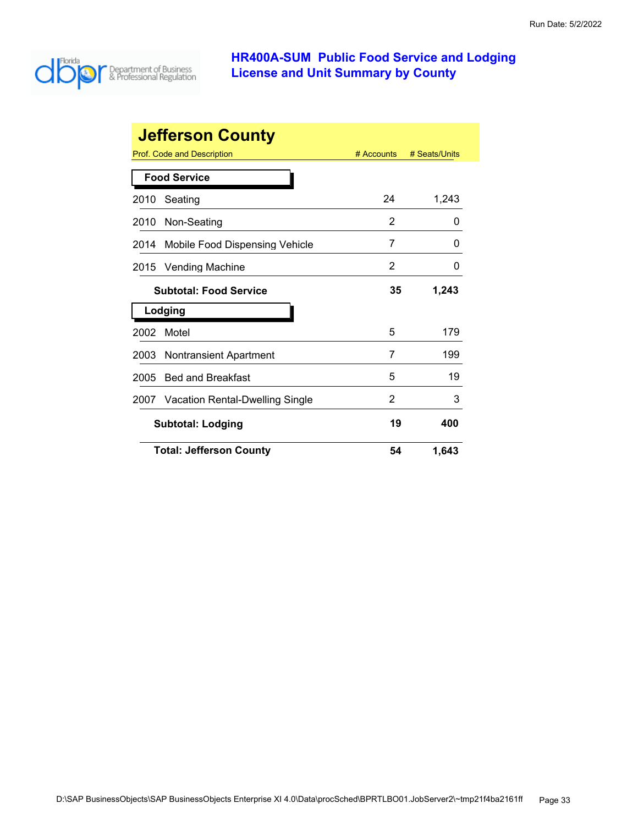

|      | <b>Jefferson County</b>              |              |               |
|------|--------------------------------------|--------------|---------------|
|      | <b>Prof. Code and Description</b>    | $#$ Accounts | # Seats/Units |
|      | <b>Food Service</b>                  |              |               |
| 2010 | Seating                              | 24           | 1,243         |
| 2010 | Non-Seating                          | 2            | 0             |
| 2014 | Mobile Food Dispensing Vehicle       | 7            | O             |
| 2015 | <b>Vending Machine</b>               | 2            | 0             |
|      | <b>Subtotal: Food Service</b>        | 35           | 1,243         |
|      | Lodging                              |              |               |
| 2002 | Motel                                | 5            | 179           |
| 2003 | <b>Nontransient Apartment</b>        | 7            | 199           |
| 2005 | <b>Bed and Breakfast</b>             | 5            | 19            |
|      | 2007 Vacation Rental-Dwelling Single | 2            | 3             |
|      | <b>Subtotal: Lodging</b>             | 19           | 400           |
|      | <b>Total: Jefferson County</b>       | 54           | 1,643         |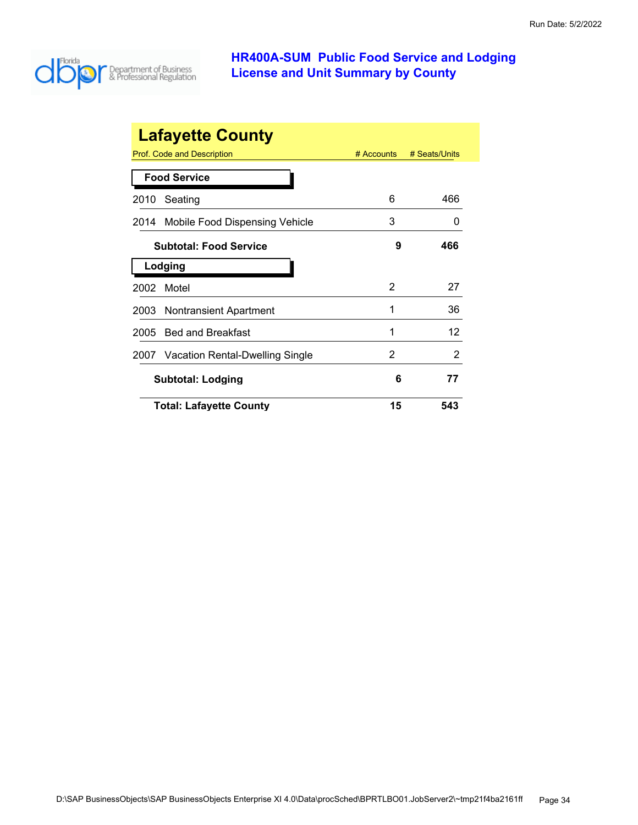

| <b>Lafayette County</b> |                                 |              |               |  |
|-------------------------|---------------------------------|--------------|---------------|--|
|                         | Prof. Code and Description      | $#$ Accounts | # Seats/Units |  |
|                         | <b>Food Service</b>             |              |               |  |
| 2010                    | Seating                         | 6            | 466           |  |
| 2014                    | Mobile Food Dispensing Vehicle  | 3            | $\mathbf{0}$  |  |
|                         | <b>Subtotal: Food Service</b>   | 9            | 466           |  |
|                         | Lodging                         |              |               |  |
| 2002                    | Motel                           | 2            | 27            |  |
| 2003                    | <b>Nontransient Apartment</b>   | 1            | 36            |  |
| 2005                    | <b>Bed and Breakfast</b>        | 1            | 12            |  |
| 2007                    | Vacation Rental-Dwelling Single | 2            | 2             |  |
|                         | <b>Subtotal: Lodging</b>        | 6            | 77            |  |
|                         | <b>Total: Lafayette County</b>  | 15           | 543           |  |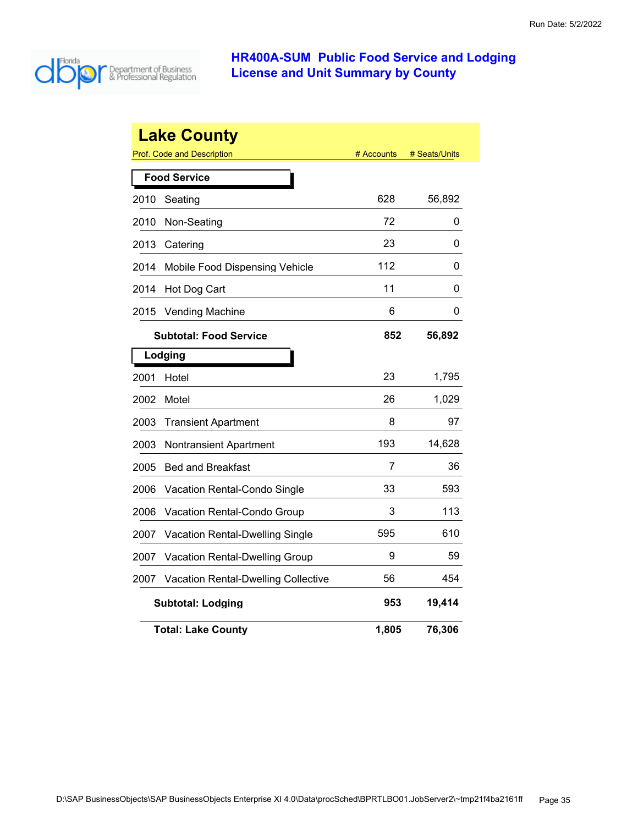

|      | <b>Lake County</b><br>Prof. Code and Description | # Accounts | # Seats/Units |
|------|--------------------------------------------------|------------|---------------|
|      | <b>Food Service</b>                              |            |               |
| 2010 | Seating                                          | 628        | 56,892        |
| 2010 | Non-Seating                                      | 72         | 0             |
| 2013 | Catering                                         | 23         | 0             |
| 2014 | Mobile Food Dispensing Vehicle                   | 112        | 0             |
| 2014 | Hot Dog Cart                                     | 11         | 0             |
| 2015 | Vending Machine                                  | 6          | 0             |
|      | <b>Subtotal: Food Service</b>                    | 852        | 56,892        |
|      | Lodging                                          |            |               |
| 2001 | Hotel                                            | 23         | 1,795         |
| 2002 | Motel                                            | 26         | 1,029         |
| 2003 | <b>Transient Apartment</b>                       | 8          | 97            |
| 2003 | <b>Nontransient Apartment</b>                    | 193        | 14,628        |
| 2005 | <b>Bed and Breakfast</b>                         | 7          | 36            |
| 2006 | Vacation Rental-Condo Single                     | 33         | 593           |
| 2006 | Vacation Rental-Condo Group                      | 3          | 113           |
| 2007 | Vacation Rental-Dwelling Single                  | 595        | 610           |
| 2007 | <b>Vacation Rental-Dwelling Group</b>            | 9          | 59            |
| 2007 | <b>Vacation Rental-Dwelling Collective</b>       | 56         | 454           |
|      | <b>Subtotal: Lodging</b>                         | 953        | 19,414        |
|      | <b>Total: Lake County</b>                        | 1,805      | 76,306        |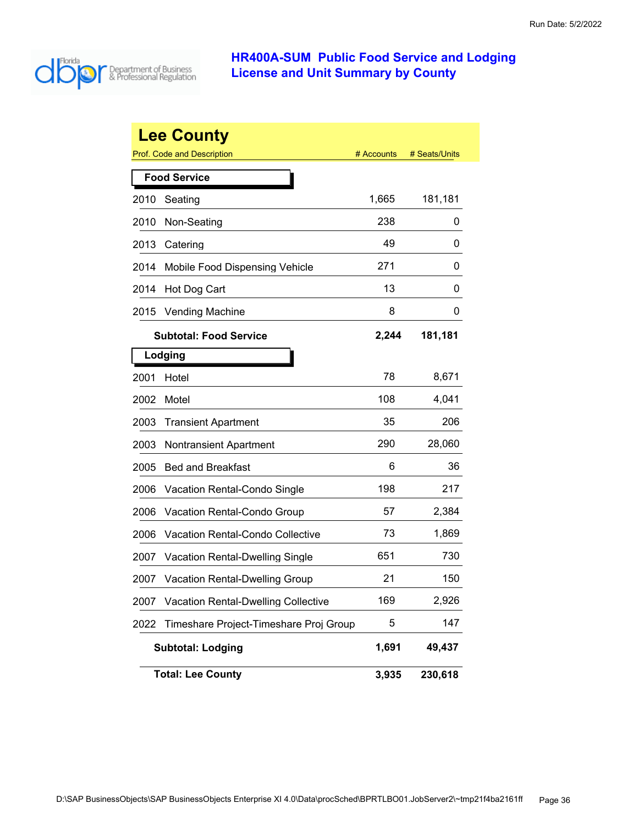

|      | <b>Lee County</b>                          |            |               |
|------|--------------------------------------------|------------|---------------|
|      | Prof. Code and Description                 | # Accounts | # Seats/Units |
|      | <b>Food Service</b>                        |            |               |
| 2010 | Seating                                    | 1,665      | 181,181       |
| 2010 | Non-Seating                                | 238        | 0             |
| 2013 | Catering                                   | 49         | 0             |
| 2014 | Mobile Food Dispensing Vehicle             | 271        | 0             |
| 2014 | Hot Dog Cart                               | 13         | 0             |
| 2015 | <b>Vending Machine</b>                     | 8          | 0             |
|      | <b>Subtotal: Food Service</b>              | 2,244      | 181,181       |
|      | Lodging                                    |            |               |
| 2001 | Hotel                                      | 78         | 8,671         |
| 2002 | Motel                                      | 108        | 4,041         |
| 2003 | <b>Transient Apartment</b>                 | 35         | 206           |
| 2003 | <b>Nontransient Apartment</b>              | 290        | 28,060        |
| 2005 | <b>Bed and Breakfast</b>                   | 6          | 36            |
| 2006 | Vacation Rental-Condo Single               | 198        | 217           |
| 2006 | Vacation Rental-Condo Group                | 57         | 2,384         |
| 2006 | <b>Vacation Rental-Condo Collective</b>    | 73         | 1,869         |
| 2007 | <b>Vacation Rental-Dwelling Single</b>     | 651        | 730           |
| 2007 | <b>Vacation Rental-Dwelling Group</b>      | 21         | 150           |
| 2007 | <b>Vacation Rental-Dwelling Collective</b> | 169        | 2,926         |
| 2022 | Timeshare Project-Timeshare Proj Group     | 5          | 147           |
|      | <b>Subtotal: Lodging</b>                   | 1,691      | 49,437        |
|      | <b>Total: Lee County</b>                   | 3,935      | 230,618       |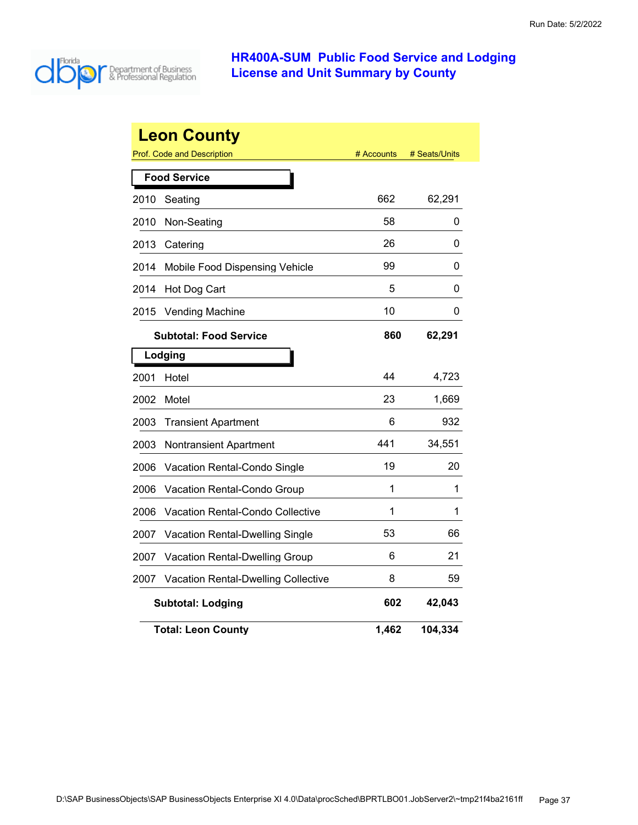

|      | <b>Leon County</b><br>Prof. Code and Description | # Accounts | # Seats/Units |
|------|--------------------------------------------------|------------|---------------|
|      | <b>Food Service</b>                              |            |               |
| 2010 | Seating                                          | 662        | 62,291        |
| 2010 | Non-Seating                                      | 58         | 0             |
| 2013 | Catering                                         | 26         | 0             |
| 2014 | Mobile Food Dispensing Vehicle                   | 99         | 0             |
| 2014 | Hot Dog Cart                                     | 5          | 0             |
| 2015 | <b>Vending Machine</b>                           | 10         | 0             |
|      | <b>Subtotal: Food Service</b>                    | 860        | 62,291        |
|      | Lodging                                          |            |               |
| 2001 | Hotel                                            | 44         | 4,723         |
| 2002 | Motel                                            | 23         | 1,669         |
| 2003 | <b>Transient Apartment</b>                       | 6          | 932           |
| 2003 | Nontransient Apartment                           | 441        | 34,551        |
| 2006 | Vacation Rental-Condo Single                     | 19         | 20            |
| 2006 | Vacation Rental-Condo Group                      | 1          | 1             |
| 2006 | <b>Vacation Rental-Condo Collective</b>          | 1          | 1             |
| 2007 | Vacation Rental-Dwelling Single                  | 53         | 66            |
| 2007 | Vacation Rental-Dwelling Group                   | 6          | 21            |
| 2007 | <b>Vacation Rental-Dwelling Collective</b>       | 8          | 59            |
|      | <b>Subtotal: Lodging</b>                         | 602        | 42,043        |
|      | <b>Total: Leon County</b>                        | 1,462      | 104,334       |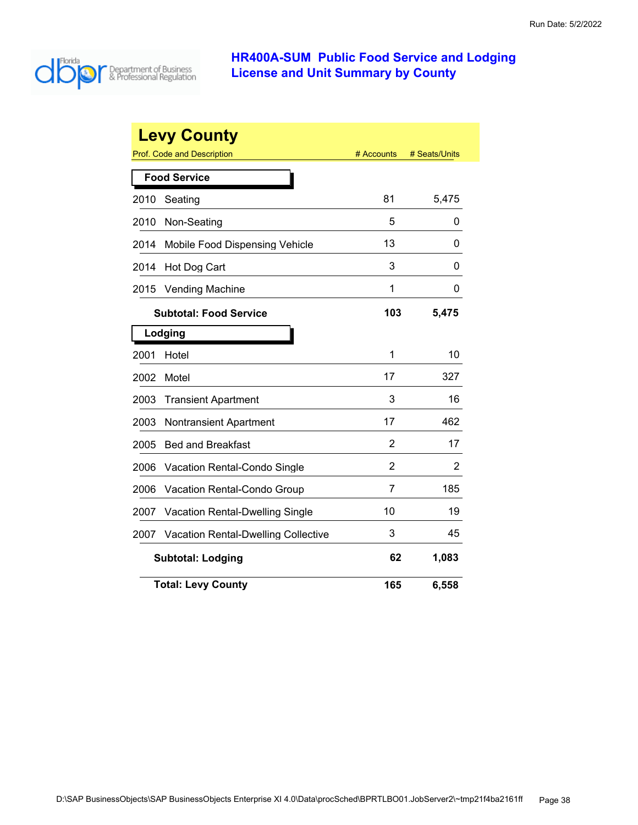

| <b>Levy County</b> |                                            |            |               |  |
|--------------------|--------------------------------------------|------------|---------------|--|
|                    | Prof. Code and Description                 | # Accounts | # Seats/Units |  |
|                    | <b>Food Service</b>                        |            |               |  |
| 2010               | Seating                                    | 81         | 5,475         |  |
| 2010               | Non-Seating                                | 5          | 0             |  |
| 2014               | Mobile Food Dispensing Vehicle             | 13         | O             |  |
| 2014               | Hot Dog Cart                               | 3          | 0             |  |
| 2015               | <b>Vending Machine</b>                     | 1          | 0             |  |
|                    | <b>Subtotal: Food Service</b>              | 103        | 5,475         |  |
|                    | Lodging                                    |            |               |  |
| 2001               | Hotel                                      | 1          | 10            |  |
| 2002               | Motel                                      | 17         | 327           |  |
| 2003               | <b>Transient Apartment</b>                 | 3          | 16            |  |
| 2003               | <b>Nontransient Apartment</b>              | 17         | 462           |  |
| 2005               | <b>Bed and Breakfast</b>                   | 2          | 17            |  |
| 2006               | Vacation Rental-Condo Single               | 2          | 2             |  |
| 2006               | Vacation Rental-Condo Group                | 7          | 185           |  |
| 2007               | Vacation Rental-Dwelling Single            | 10         | 19            |  |
| 2007               | <b>Vacation Rental-Dwelling Collective</b> | 3          | 45            |  |
|                    | <b>Subtotal: Lodging</b>                   | 62         | 1,083         |  |
|                    | <b>Total: Levy County</b>                  | 165        | 6,558         |  |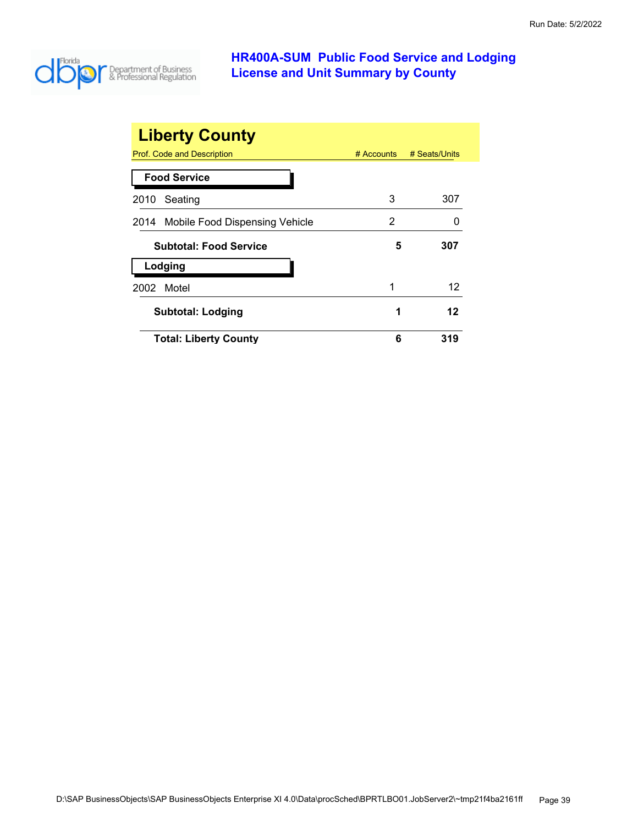

| <b>Liberty County</b>               |              |               |
|-------------------------------------|--------------|---------------|
| Prof. Code and Description          | $#$ Accounts | # Seats/Units |
| <b>Food Service</b>                 |              |               |
| Seating<br>2010                     | 3            | 307           |
| 2014 Mobile Food Dispensing Vehicle | 2            |               |
| <b>Subtotal: Food Service</b>       | 5            | 307           |
| Lodging                             |              |               |
| Motel<br>2002                       | 1            | 12            |
| <b>Subtotal: Lodging</b>            | 1            | 12            |
| <b>Total: Liberty County</b>        | 6            | 319           |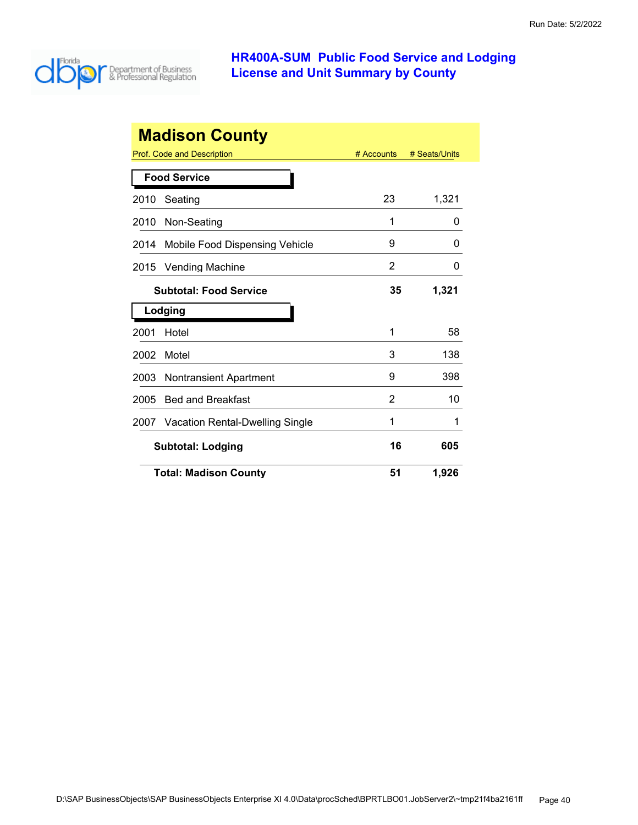

| <b>Madison County</b>                                     |                                       |    |       |  |  |
|-----------------------------------------------------------|---------------------------------------|----|-------|--|--|
| Prof. Code and Description<br># Accounts<br># Seats/Units |                                       |    |       |  |  |
|                                                           | <b>Food Service</b>                   |    |       |  |  |
| 2010                                                      | Seating                               | 23 | 1,321 |  |  |
| 2010                                                      | Non-Seating                           | 1  | 0     |  |  |
| 2014                                                      | Mobile Food Dispensing Vehicle        | 9  | O     |  |  |
| 2015                                                      | <b>Vending Machine</b>                | 2  | 0     |  |  |
|                                                           | <b>Subtotal: Food Service</b>         | 35 | 1,321 |  |  |
|                                                           | Lodging                               |    |       |  |  |
| 2001                                                      | Hotel                                 | 1  | 58    |  |  |
| 2002                                                      | Motel                                 | 3  | 138   |  |  |
| 2003                                                      | <b>Nontransient Apartment</b>         | 9  | 398   |  |  |
| 2005                                                      | <b>Bed and Breakfast</b>              | 2  | 10    |  |  |
| 2007                                                      | Vacation Rental-Dwelling Single       | 1  | 1     |  |  |
|                                                           | 16<br>605<br><b>Subtotal: Lodging</b> |    |       |  |  |
|                                                           | <b>Total: Madison County</b>          | 51 | 1,926 |  |  |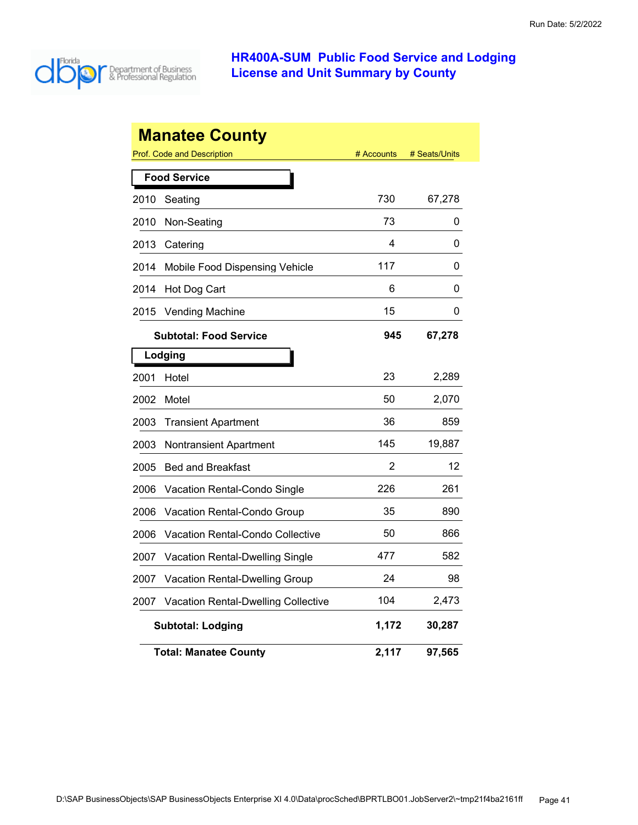

|      | <b>Manatee County</b>                      |            |               |
|------|--------------------------------------------|------------|---------------|
|      | Prof. Code and Description                 | # Accounts | # Seats/Units |
|      | <b>Food Service</b>                        |            |               |
| 2010 | Seating                                    | 730        | 67,278        |
| 2010 | Non-Seating                                | 73         | 0             |
| 2013 | Catering                                   | 4          | 0             |
| 2014 | Mobile Food Dispensing Vehicle             | 117        | 0             |
| 2014 | Hot Dog Cart                               | 6          | 0             |
| 2015 | <b>Vending Machine</b>                     | 15         | 0             |
|      | <b>Subtotal: Food Service</b>              | 945        | 67,278        |
|      | Lodging                                    |            |               |
| 2001 | Hotel                                      | 23         | 2,289         |
| 2002 | Motel                                      | 50         | 2,070         |
| 2003 | <b>Transient Apartment</b>                 | 36         | 859           |
| 2003 | <b>Nontransient Apartment</b>              | 145        | 19,887        |
| 2005 | <b>Bed and Breakfast</b>                   | 2          | 12            |
| 2006 | <b>Vacation Rental-Condo Single</b>        | 226        | 261           |
| 2006 | Vacation Rental-Condo Group                | 35         | 890           |
| 2006 | <b>Vacation Rental-Condo Collective</b>    | 50         | 866           |
| 2007 | <b>Vacation Rental-Dwelling Single</b>     | 477        | 582           |
| 2007 | <b>Vacation Rental-Dwelling Group</b>      | 24         | 98            |
| 2007 | <b>Vacation Rental-Dwelling Collective</b> | 104        | 2,473         |
|      | <b>Subtotal: Lodging</b>                   | 1,172      | 30,287        |
|      | <b>Total: Manatee Countv</b>               | 2,117      | 97,565        |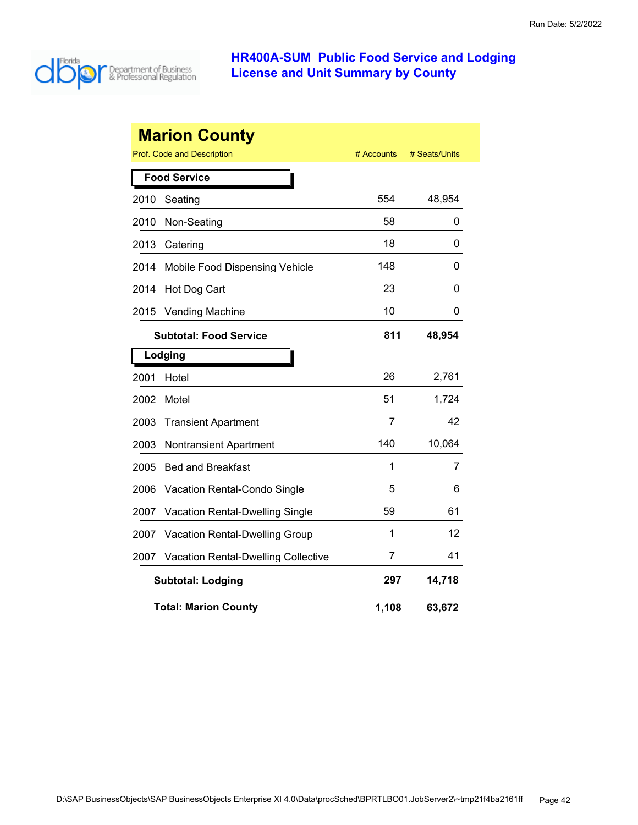

|                     | <b>Marion County</b>                       |            |               |  |
|---------------------|--------------------------------------------|------------|---------------|--|
|                     | Prof. Code and Description                 | # Accounts | # Seats/Units |  |
| <b>Food Service</b> |                                            |            |               |  |
| 2010                | Seating                                    | 554        | 48,954        |  |
| 2010                | Non-Seating                                | 58         | 0             |  |
| 2013                | Catering                                   | 18         | 0             |  |
| 2014                | Mobile Food Dispensing Vehicle             | 148        | 0             |  |
| 2014                | Hot Dog Cart                               | 23         | 0             |  |
| 2015                | <b>Vending Machine</b>                     | 10         | 0             |  |
|                     | <b>Subtotal: Food Service</b>              | 811        | 48,954        |  |
|                     | Lodging                                    |            |               |  |
| 2001                | Hotel                                      | 26         | 2,761         |  |
| 2002                | Motel                                      | 51         | 1,724         |  |
| 2003                | <b>Transient Apartment</b>                 | 7          | 42            |  |
| 2003                | <b>Nontransient Apartment</b>              | 140        | 10,064        |  |
| 2005                | <b>Bed and Breakfast</b>                   | 1          | 7             |  |
| 2006                | Vacation Rental-Condo Single               | 5          | 6             |  |
| 2007                | Vacation Rental-Dwelling Single            | 59         | 61            |  |
| 2007                | <b>Vacation Rental-Dwelling Group</b>      | 1          | 12            |  |
| 2007                | <b>Vacation Rental-Dwelling Collective</b> | 7          | 41            |  |
|                     | <b>Subtotal: Lodging</b>                   | 297        | 14,718        |  |
|                     | <b>Total: Marion County</b>                | 1,108      | 63,672        |  |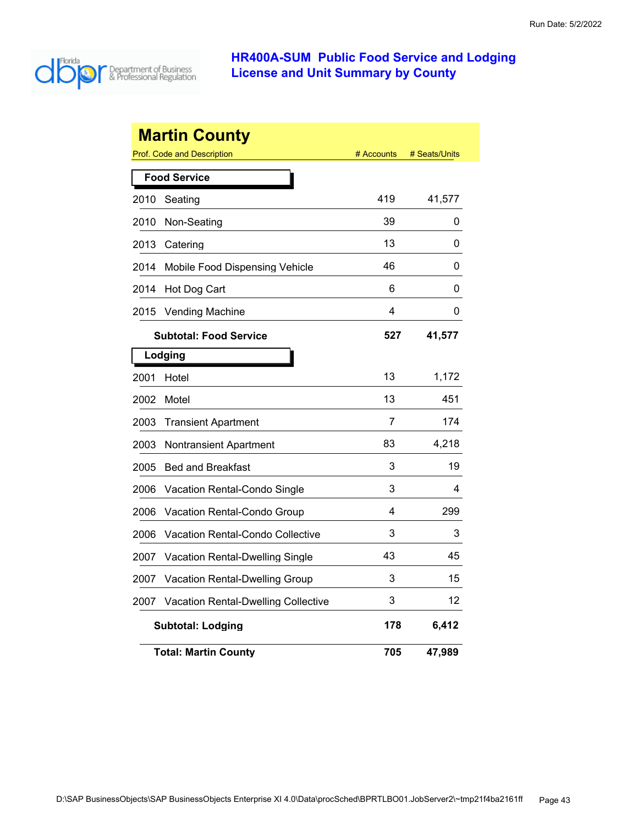

|      | <b>Martin County</b><br><b>Prof. Code and Description</b> | # Accounts | # Seats/Units |
|------|-----------------------------------------------------------|------------|---------------|
|      |                                                           |            |               |
| 2010 | <b>Food Service</b><br>Seating                            | 419        | 41,577        |
| 2010 | Non-Seating                                               | 39         | 0             |
| 2013 | Catering                                                  | 13         | 0             |
| 2014 | Mobile Food Dispensing Vehicle                            | 46         | 0             |
|      |                                                           | 6          | 0             |
| 2014 | Hot Dog Cart                                              | 4          |               |
| 2015 | <b>Vending Machine</b>                                    |            | 0             |
|      | <b>Subtotal: Food Service</b>                             | 527        | 41,577        |
|      | Lodging                                                   |            |               |
| 2001 | Hotel                                                     | 13         | 1,172         |
| 2002 | Motel                                                     | 13         | 451           |
| 2003 | <b>Transient Apartment</b>                                | 7          | 174           |
| 2003 | Nontransient Apartment                                    | 83         | 4,218         |
| 2005 | <b>Bed and Breakfast</b>                                  | 3          | 19            |
| 2006 | Vacation Rental-Condo Single                              | 3          | 4             |
| 2006 | Vacation Rental-Condo Group                               | 4          | 299           |
| 2006 | Vacation Rental-Condo Collective                          | 3          | 3             |
| 2007 | Vacation Rental-Dwelling Single                           | 43         | 45            |
| 2007 | <b>Vacation Rental-Dwelling Group</b>                     | 3          | 15            |
| 2007 | Vacation Rental-Dwelling Collective                       | 3          | 12            |
|      | <b>Subtotal: Lodging</b>                                  | 178        | 6,412         |
|      | <b>Total: Martin County</b>                               | 705        | 47,989        |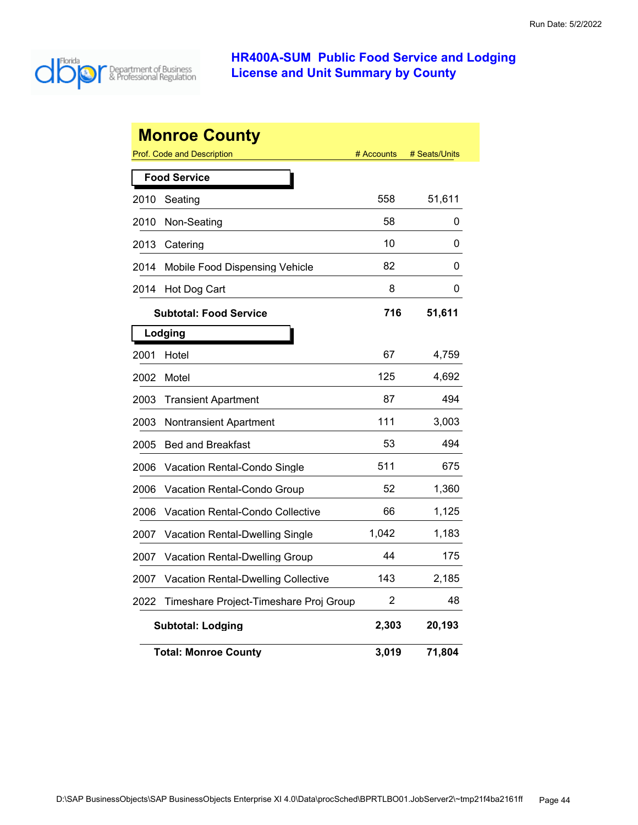

|      | <b>Monroe County</b>                                     |            |               |
|------|----------------------------------------------------------|------------|---------------|
|      | <b>Prof. Code and Description</b><br><b>Food Service</b> | # Accounts | # Seats/Units |
|      |                                                          | 558        |               |
| 2010 | Seating                                                  |            | 51,611        |
| 2010 | Non-Seating                                              | 58         | 0             |
| 2013 | Catering                                                 | 10         | 0             |
| 2014 | Mobile Food Dispensing Vehicle                           | 82         | 0             |
| 2014 | Hot Dog Cart                                             | 8          | 0             |
|      | <b>Subtotal: Food Service</b>                            | 716        | 51,611        |
|      | Lodging                                                  |            |               |
| 2001 | Hotel                                                    | 67         | 4,759         |
| 2002 | Motel                                                    | 125        | 4,692         |
| 2003 | <b>Transient Apartment</b>                               | 87         | 494           |
| 2003 | Nontransient Apartment                                   | 111        | 3,003         |
| 2005 | <b>Bed and Breakfast</b>                                 | 53         | 494           |
| 2006 | Vacation Rental-Condo Single                             | 511        | 675           |
| 2006 | Vacation Rental-Condo Group                              | 52         | 1,360         |
| 2006 | Vacation Rental-Condo Collective                         | 66         | 1,125         |
| 2007 | Vacation Rental-Dwelling Single                          | 1,042      | 1,183         |
| 2007 | Vacation Rental-Dwelling Group                           | 44         | 175           |
| 2007 | <b>Vacation Rental-Dwelling Collective</b>               | 143        | 2,185         |
| 2022 | Timeshare Project-Timeshare Proj Group                   | 2          | 48            |
|      | <b>Subtotal: Lodging</b>                                 | 2,303      | 20,193        |
|      | <b>Total: Monroe County</b>                              | 3,019      | 71,804        |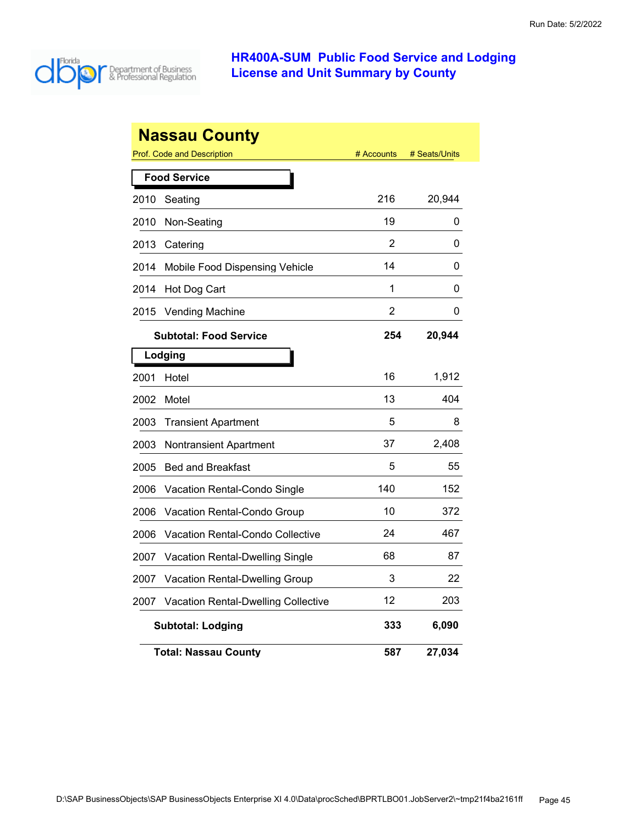

|      | <b>Nassau County</b>                       |            |               |
|------|--------------------------------------------|------------|---------------|
|      | Prof. Code and Description                 | # Accounts | # Seats/Units |
|      | <b>Food Service</b>                        |            |               |
| 2010 | Seating                                    | 216        | 20,944        |
| 2010 | Non-Seating                                | 19         | 0             |
| 2013 | Catering                                   | 2          | 0             |
| 2014 | Mobile Food Dispensing Vehicle             | 14         | 0             |
| 2014 | Hot Dog Cart                               | 1          | 0             |
| 2015 | <b>Vending Machine</b>                     | 2          | 0             |
|      | <b>Subtotal: Food Service</b>              | 254        | 20,944        |
|      | Lodging                                    |            |               |
| 2001 | Hotel                                      | 16         | 1,912         |
| 2002 | Motel                                      | 13         | 404           |
| 2003 | <b>Transient Apartment</b>                 | 5          | 8             |
| 2003 | Nontransient Apartment                     | 37         | 2,408         |
| 2005 | <b>Bed and Breakfast</b>                   | 5          | 55            |
| 2006 | Vacation Rental-Condo Single               | 140        | 152           |
| 2006 | Vacation Rental-Condo Group                | 10         | 372           |
| 2006 | Vacation Rental-Condo Collective           | 24         | 467           |
| 2007 | Vacation Rental-Dwelling Single            | 68         | 87            |
| 2007 | Vacation Rental-Dwelling Group             | 3          | 22            |
| 2007 | <b>Vacation Rental-Dwelling Collective</b> | 12         | 203           |
|      | <b>Subtotal: Lodging</b>                   | 333        | 6,090         |
|      | <b>Total: Nassau County</b>                | 587        | 27,034        |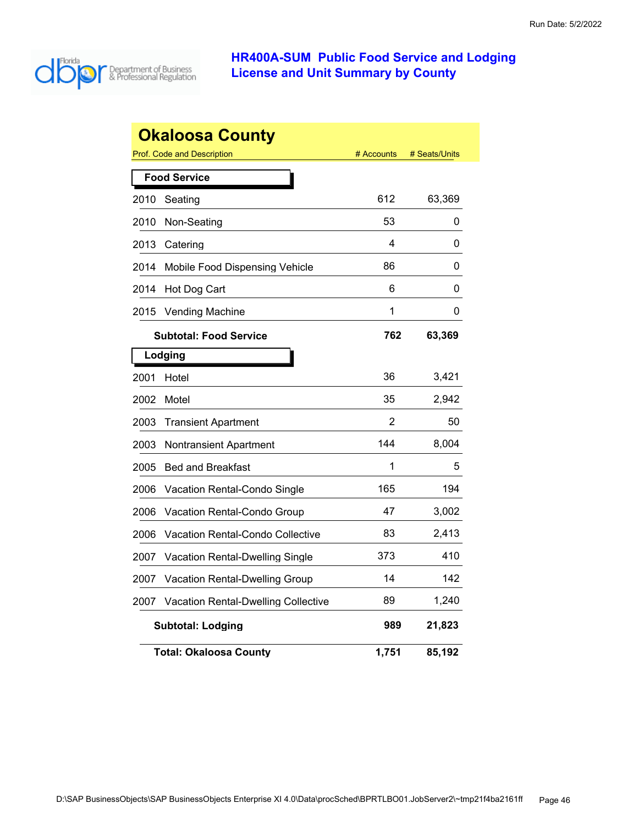

|      | <b>Okaloosa County</b>                     |            |               |
|------|--------------------------------------------|------------|---------------|
|      | Prof. Code and Description                 | # Accounts | # Seats/Units |
|      | <b>Food Service</b>                        |            |               |
| 2010 | Seating                                    | 612        | 63,369        |
| 2010 | Non-Seating                                | 53         | 0             |
| 2013 | Catering                                   | 4          | 0             |
| 2014 | Mobile Food Dispensing Vehicle             | 86         | 0             |
| 2014 | Hot Dog Cart                               | 6          | 0             |
| 2015 | <b>Vending Machine</b>                     | 1          | 0             |
|      | <b>Subtotal: Food Service</b>              | 762        | 63,369        |
|      | Lodging                                    |            |               |
| 2001 | Hotel                                      | 36         | 3,421         |
| 2002 | Motel                                      | 35         | 2,942         |
| 2003 | <b>Transient Apartment</b>                 | 2          | 50            |
| 2003 | Nontransient Apartment                     | 144        | 8,004         |
| 2005 | <b>Bed and Breakfast</b>                   | 1          | 5             |
| 2006 | Vacation Rental-Condo Single               | 165        | 194           |
| 2006 | Vacation Rental-Condo Group                | 47         | 3,002         |
| 2006 | Vacation Rental-Condo Collective           | 83         | 2,413         |
| 2007 | Vacation Rental-Dwelling Single            | 373        | 410           |
| 2007 | Vacation Rental-Dwelling Group             | 14         | 142           |
| 2007 | <b>Vacation Rental-Dwelling Collective</b> | 89         | 1,240         |
|      | <b>Subtotal: Lodging</b>                   | 989        | 21,823        |
|      | <b>Total: Okaloosa County</b>              | 1,751      | 85,192        |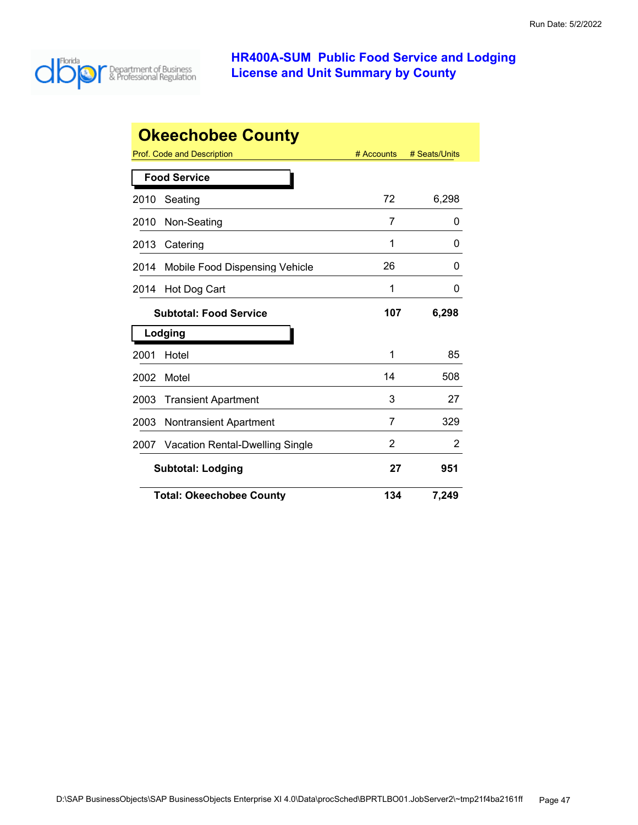

|      | <b>Okeechobee County</b>              |            |               |
|------|---------------------------------------|------------|---------------|
|      | Prof. Code and Description            | # Accounts | # Seats/Units |
|      | <b>Food Service</b>                   |            |               |
| 2010 | Seating                               | 72         | 6,298         |
| 2010 | Non-Seating                           | 7          | 0             |
| 2013 | Catering                              | 1          | 0             |
| 2014 | <b>Mobile Food Dispensing Vehicle</b> | 26         | 0             |
| 2014 | Hot Dog Cart                          | 1          | 0             |
|      | <b>Subtotal: Food Service</b>         | 107        | 6,298         |
|      | Lodging                               |            |               |
| 2001 | Hotel                                 | 1          | 85            |
| 2002 | Motel                                 | 14         | 508           |
| 2003 | <b>Transient Apartment</b>            | 3          | 27            |
| 2003 | <b>Nontransient Apartment</b>         | 7          | 329           |
| 2007 | Vacation Rental-Dwelling Single       | 2          | 2             |
|      | <b>Subtotal: Lodging</b>              | 27         | 951           |
|      | <b>Total: Okeechobee County</b>       | 134        | 7,249         |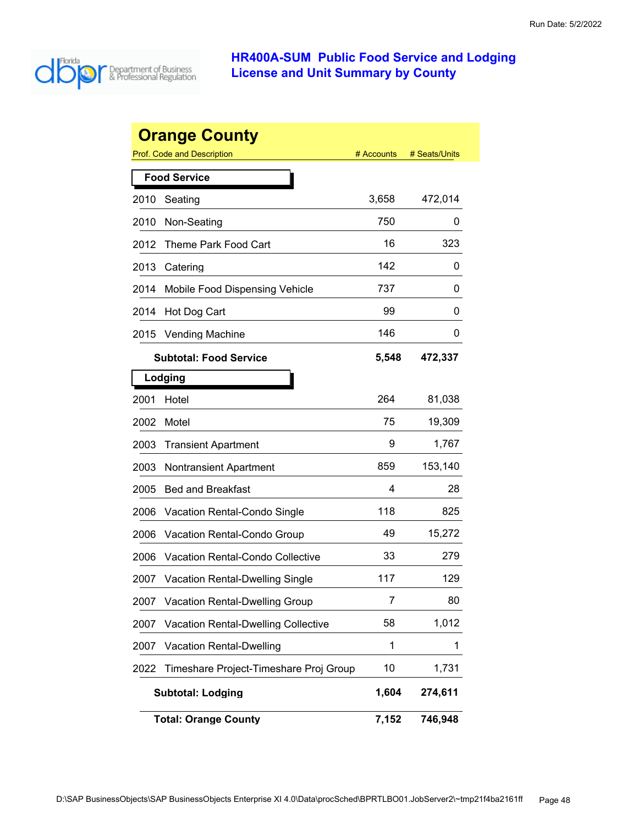

| <b>Orange County</b> |                                        |            |               |  |
|----------------------|----------------------------------------|------------|---------------|--|
|                      | Prof. Code and Description             | # Accounts | # Seats/Units |  |
| <b>Food Service</b>  |                                        |            |               |  |
| 2010                 | Seating                                | 3,658      | 472,014       |  |
| 2010                 | Non-Seating                            | 750        | 0             |  |
| 2012                 | Theme Park Food Cart                   | 16         | 323           |  |
| 2013                 | Catering                               | 142        | 0             |  |
| 2014                 | Mobile Food Dispensing Vehicle         | 737        | 0             |  |
| 2014                 | Hot Dog Cart                           | 99         | 0             |  |
| 2015                 | <b>Vending Machine</b>                 | 146        | Ü             |  |
|                      | Subtotal: Food Service                 | 5,548      | 472,337       |  |
|                      | Lodging                                |            |               |  |
| 2001                 | Hotel                                  | 264        | 81,038        |  |
| 2002                 | Motel                                  | 75         | 19,309        |  |
| 2003                 | <b>Transient Apartment</b>             | 9          | 1,767         |  |
| 2003                 | <b>Nontransient Apartment</b>          | 859        | 153,140       |  |
| 2005                 | <b>Bed and Breakfast</b>               | 4          | 28            |  |
| 2006                 | Vacation Rental-Condo Single           | 118        | 825           |  |
| 2006                 | Vacation Rental-Condo Group            | 49         | 15,272        |  |
| 2006                 | Vacation Rental-Condo Collective       | 33         | 279           |  |
| 2007                 | <b>Vacation Rental-Dwelling Single</b> | 117        | 129           |  |
| 2007                 | <b>Vacation Rental-Dwelling Group</b>  | 7          | 80            |  |
| 2007                 | Vacation Rental-Dwelling Collective    | 58         | 1,012         |  |
| 2007                 | <b>Vacation Rental-Dwelling</b>        | 1          | 1             |  |
| 2022                 | Timeshare Project-Timeshare Proj Group | 10         | 1,731         |  |
|                      | <b>Subtotal: Lodging</b>               | 1,604      | 274,611       |  |
|                      | <b>Total: Orange County</b>            | 7,152      | 746,948       |  |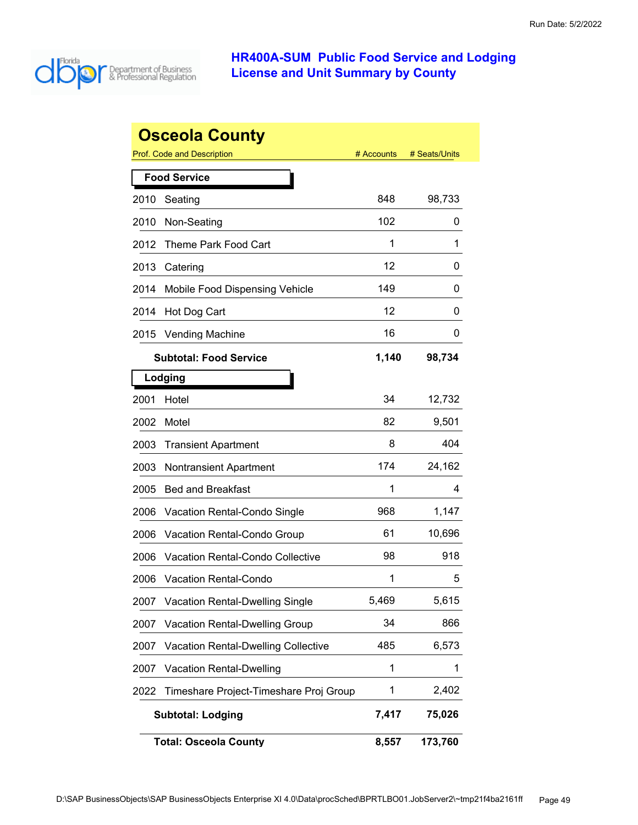

|      | <b>Osceola County</b>                      |            |               |
|------|--------------------------------------------|------------|---------------|
|      | <b>Prof. Code and Description</b>          | # Accounts | # Seats/Units |
|      | <b>Food Service</b>                        |            |               |
| 2010 | Seating                                    | 848        | 98,733        |
| 2010 | Non-Seating                                | 102        | 0             |
| 2012 | Theme Park Food Cart                       | 1          | 1             |
| 2013 | Catering                                   | 12         | 0             |
| 2014 | Mobile Food Dispensing Vehicle             | 149        | 0             |
| 2014 | Hot Dog Cart                               | 12         | O             |
| 2015 | <b>Vending Machine</b>                     | 16         | 0             |
|      | <b>Subtotal: Food Service</b>              | 1,140      | 98,734        |
|      | Lodging                                    |            |               |
| 2001 | Hotel                                      | 34         | 12,732        |
| 2002 | Motel                                      | 82         | 9,501         |
| 2003 | <b>Transient Apartment</b>                 | 8          | 404           |
| 2003 | <b>Nontransient Apartment</b>              | 174        | 24,162        |
| 2005 | <b>Bed and Breakfast</b>                   | 1          | 4             |
| 2006 | Vacation Rental-Condo Single               | 968        | 1,147         |
| 2006 | Vacation Rental-Condo Group                | 61         | 10,696        |
| 2006 | Vacation Rental-Condo Collective           | 98         | 918           |
| 2006 | <b>Vacation Rental-Condo</b>               | 1          | 5             |
| 2007 | <b>Vacation Rental-Dwelling Single</b>     | 5,469      | 5,615         |
| 2007 | <b>Vacation Rental-Dwelling Group</b>      | 34         | 866           |
| 2007 | <b>Vacation Rental-Dwelling Collective</b> | 485        | 6,573         |
| 2007 | Vacation Rental-Dwelling                   | 1          | 1             |
| 2022 | Timeshare Project-Timeshare Proj Group     | 1          | 2,402         |
|      | <b>Subtotal: Lodging</b>                   | 7,417      | 75,026        |
|      | <b>Total: Osceola County</b>               | 8,557      | 173,760       |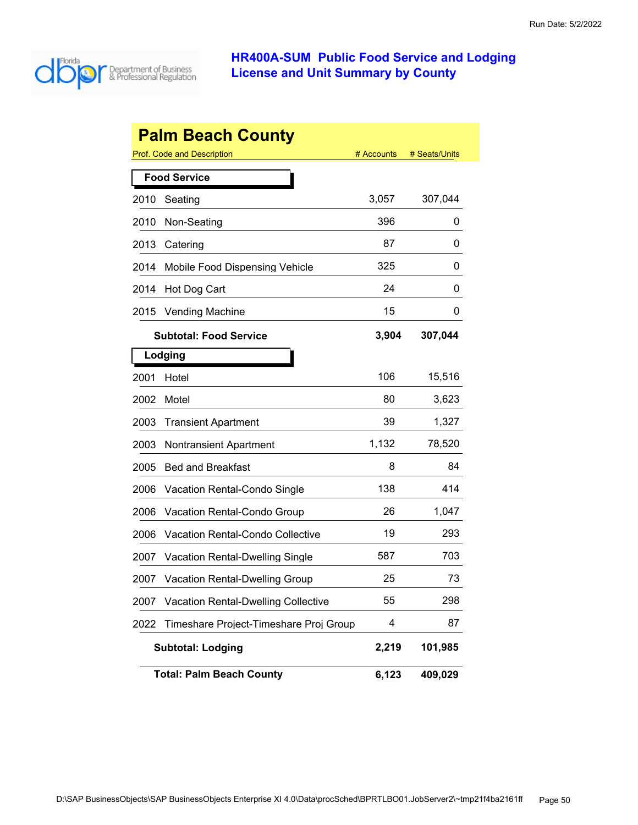

|      | <b>Palm Beach County</b>                   |            |               |
|------|--------------------------------------------|------------|---------------|
|      | Prof. Code and Description                 | # Accounts | # Seats/Units |
|      | <b>Food Service</b>                        |            |               |
| 2010 | Seating                                    | 3,057      | 307,044       |
| 2010 | Non-Seating                                | 396        | 0             |
| 2013 | Catering                                   | 87         | 0             |
| 2014 | Mobile Food Dispensing Vehicle             | 325        | 0             |
| 2014 | Hot Dog Cart                               | 24         | 0             |
| 2015 | <b>Vending Machine</b>                     | 15         | 0             |
|      | <b>Subtotal: Food Service</b>              | 3,904      | 307,044       |
|      | Lodging                                    |            |               |
| 2001 | Hotel                                      | 106        | 15,516        |
| 2002 | Motel                                      | 80         | 3,623         |
| 2003 | <b>Transient Apartment</b>                 | 39         | 1,327         |
| 2003 | <b>Nontransient Apartment</b>              | 1,132      | 78,520        |
| 2005 | <b>Bed and Breakfast</b>                   | 8          | 84            |
| 2006 | Vacation Rental-Condo Single               | 138        | 414           |
| 2006 | Vacation Rental-Condo Group                | 26         | 1,047         |
| 2006 | Vacation Rental-Condo Collective           | 19         | 293           |
| 2007 | <b>Vacation Rental-Dwelling Single</b>     | 587        | 703           |
| 2007 | <b>Vacation Rental-Dwelling Group</b>      | 25         | 73            |
| 2007 | <b>Vacation Rental-Dwelling Collective</b> | 55         | 298           |
| 2022 | Timeshare Project-Timeshare Proj Group     | 4          | 87            |
|      | <b>Subtotal: Lodging</b>                   | 2,219      | 101,985       |
|      | <b>Total: Palm Beach County</b>            | 6,123      | 409,029       |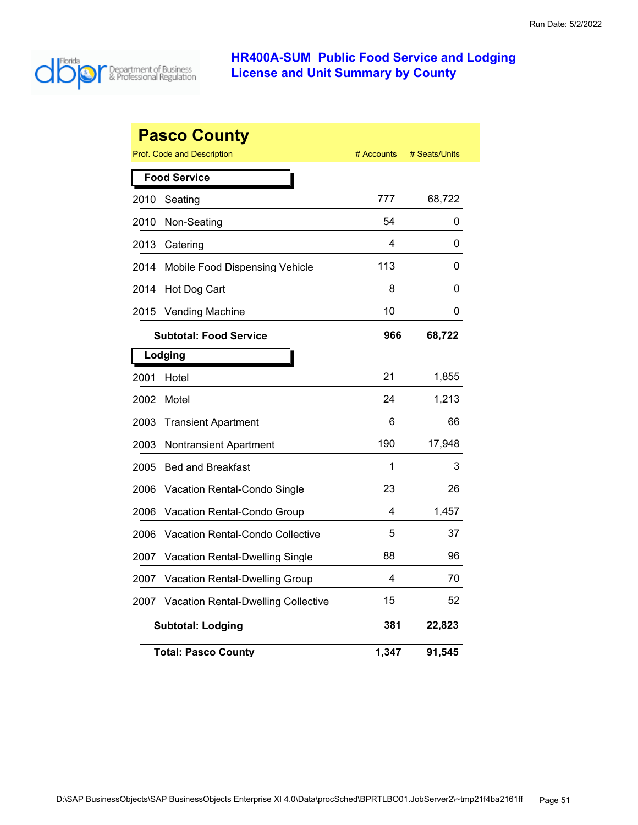

|      | <b>Pasco County</b>                 |            |               |
|------|-------------------------------------|------------|---------------|
|      | Prof. Code and Description          | # Accounts | # Seats/Units |
|      | <b>Food Service</b>                 |            |               |
| 2010 | Seating                             | 777        | 68,722        |
| 2010 | Non-Seating                         | 54         | 0             |
| 2013 | Catering                            | 4          | 0             |
| 2014 | Mobile Food Dispensing Vehicle      | 113        | 0             |
| 2014 | Hot Dog Cart                        | 8          | 0             |
| 2015 | <b>Vending Machine</b>              | 10         | 0             |
|      | <b>Subtotal: Food Service</b>       | 966        | 68,722        |
|      | Lodging                             |            |               |
| 2001 | Hotel                               | 21         | 1,855         |
| 2002 | Motel                               | 24         | 1,213         |
| 2003 | <b>Transient Apartment</b>          | 6          | 66            |
| 2003 | Nontransient Apartment              | 190        | 17,948        |
| 2005 | <b>Bed and Breakfast</b>            | 1          | 3             |
| 2006 | Vacation Rental-Condo Single        | 23         | 26            |
| 2006 | Vacation Rental-Condo Group         | 4          | 1,457         |
| 2006 | Vacation Rental-Condo Collective    | 5          | 37            |
| 2007 | Vacation Rental-Dwelling Single     | 88         | 96            |
| 2007 | Vacation Rental-Dwelling Group      | 4          | 70            |
| 2007 | Vacation Rental-Dwelling Collective | 15         | 52            |
|      | <b>Subtotal: Lodging</b>            | 381        | 22,823        |
|      | <b>Total: Pasco County</b>          | 1,347      | 91,545        |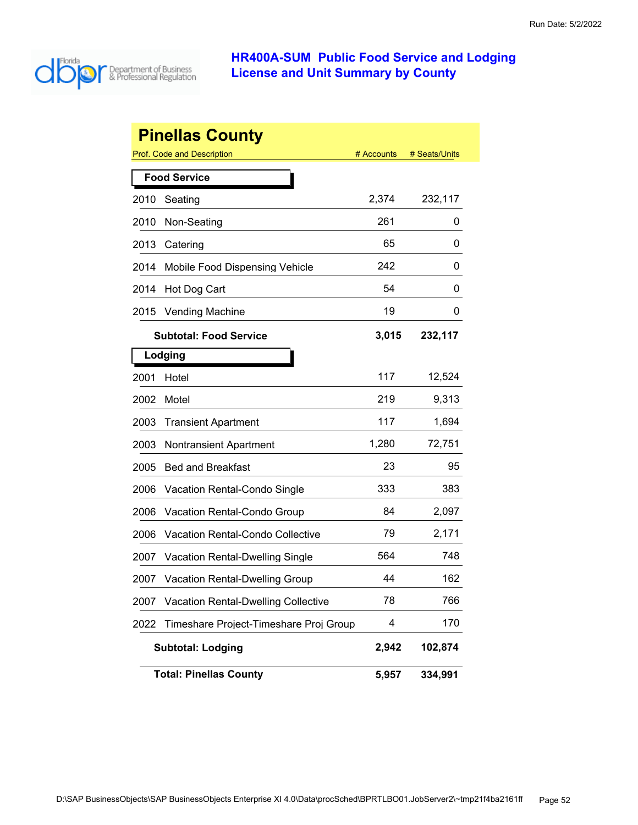

|      | <b>Pinellas County</b>                     |            |               |
|------|--------------------------------------------|------------|---------------|
|      | <b>Prof. Code and Description</b>          | # Accounts | # Seats/Units |
|      | <b>Food Service</b>                        |            |               |
| 2010 | Seating                                    | 2,374      | 232,117       |
| 2010 | Non-Seating                                | 261        | 0             |
| 2013 | Catering                                   | 65         | 0             |
| 2014 | Mobile Food Dispensing Vehicle             | 242        | 0             |
| 2014 | Hot Dog Cart                               | 54         | 0             |
| 2015 | <b>Vending Machine</b>                     | 19         | 0             |
|      | <b>Subtotal: Food Service</b>              | 3,015      | 232,117       |
|      | Lodging                                    |            |               |
| 2001 | Hotel                                      | 117        | 12,524        |
| 2002 | Motel                                      | 219        | 9,313         |
| 2003 | <b>Transient Apartment</b>                 | 117        | 1,694         |
| 2003 | <b>Nontransient Apartment</b>              | 1,280      | 72,751        |
| 2005 | <b>Bed and Breakfast</b>                   | 23         | 95            |
| 2006 | Vacation Rental-Condo Single               | 333        | 383           |
| 2006 | Vacation Rental-Condo Group                | 84         | 2,097         |
| 2006 | Vacation Rental-Condo Collective           | 79         | 2,171         |
| 2007 | Vacation Rental-Dwelling Single            | 564        | 748           |
| 2007 | <b>Vacation Rental-Dwelling Group</b>      | 44         | 162           |
| 2007 | <b>Vacation Rental-Dwelling Collective</b> | 78         | 766           |
| 2022 | Timeshare Project-Timeshare Proj Group     | 4          | 170           |
|      | <b>Subtotal: Lodging</b>                   | 2,942      | 102,874       |
|      | <b>Total: Pinellas County</b>              | 5,957      | 334,991       |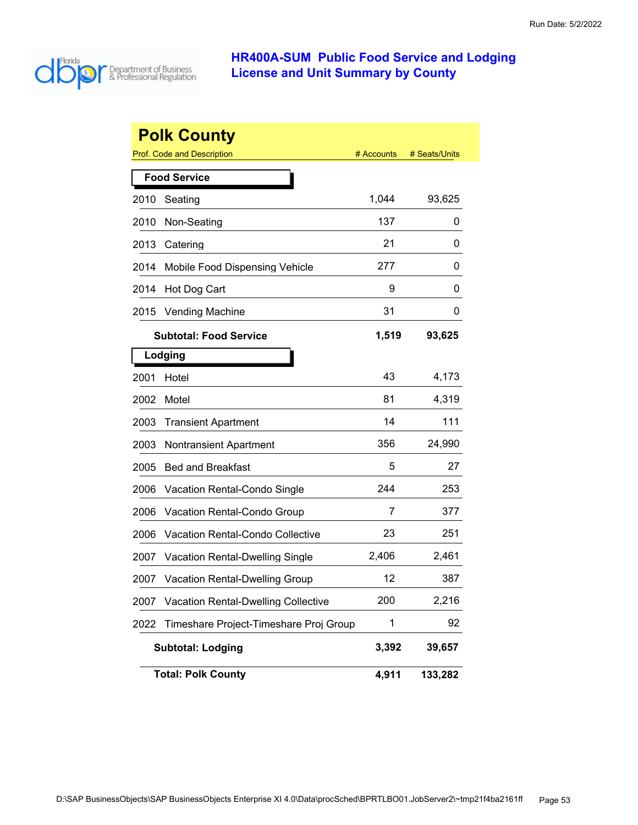

| <b>Polk County</b> |                                            |            |               |  |
|--------------------|--------------------------------------------|------------|---------------|--|
|                    | <b>Prof. Code and Description</b>          | # Accounts | # Seats/Units |  |
|                    | <b>Food Service</b>                        |            |               |  |
| 2010               | Seating                                    | 1,044      | 93,625        |  |
| 2010               | Non-Seating                                | 137        | 0             |  |
| 2013               | Catering                                   | 21         | 0             |  |
| 2014               | Mobile Food Dispensing Vehicle             | 277        | 0             |  |
| 2014               | Hot Dog Cart                               | 9          | 0             |  |
| 2015               | <b>Vending Machine</b>                     | 31         | 0             |  |
|                    | <b>Subtotal: Food Service</b>              | 1,519      | 93,625        |  |
|                    | Lodging                                    |            |               |  |
| 2001               | Hotel                                      | 43         | 4,173         |  |
| 2002               | Motel                                      | 81         | 4,319         |  |
| 2003               | <b>Transient Apartment</b>                 | 14         | 111           |  |
| 2003               | <b>Nontransient Apartment</b>              | 356        | 24,990        |  |
| 2005               | <b>Bed and Breakfast</b>                   | 5          | 27            |  |
| 2006               | Vacation Rental-Condo Single               | 244        | 253           |  |
| 2006               | Vacation Rental-Condo Group                | 7          | 377           |  |
| 2006               | <b>Vacation Rental-Condo Collective</b>    | 23         | 251           |  |
| 2007               | <b>Vacation Rental-Dwelling Single</b>     | 2,406      | 2,461         |  |
| 2007               | <b>Vacation Rental-Dwelling Group</b>      | 12         | 387           |  |
| 2007               | <b>Vacation Rental-Dwelling Collective</b> | 200        | 2,216         |  |
| 2022               | Timeshare Project-Timeshare Proj Group     | 1          | 92            |  |
|                    | <b>Subtotal: Lodging</b>                   | 3,392      | 39,657        |  |
|                    | <b>Total: Polk County</b>                  | 4,911      | 133,282       |  |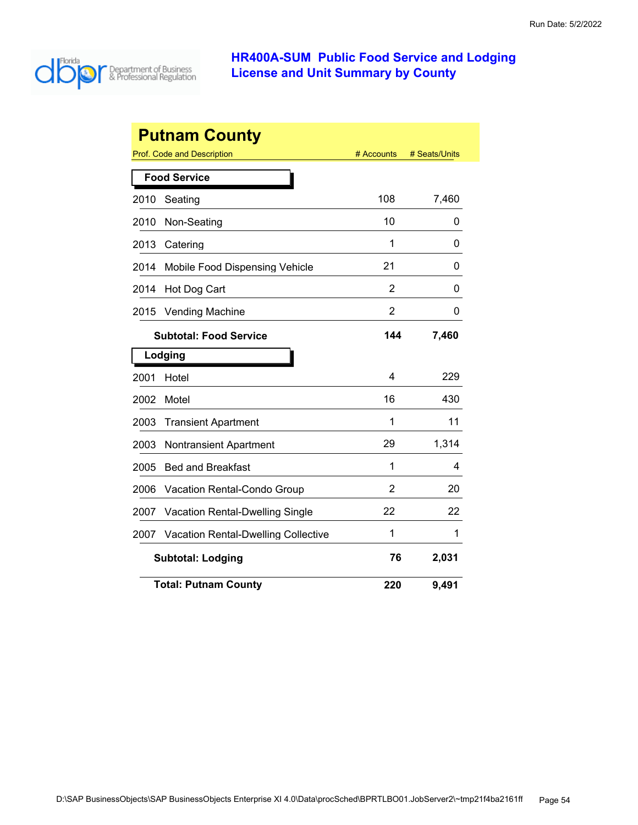

|      | <b>Putnam County</b>                       |            |               |
|------|--------------------------------------------|------------|---------------|
|      | <b>Prof. Code and Description</b>          | # Accounts | # Seats/Units |
|      | <b>Food Service</b>                        |            |               |
| 2010 | Seating                                    | 108        | 7,460         |
| 2010 | Non-Seating                                | 10         | 0             |
| 2013 | Catering                                   | 1          | 0             |
| 2014 | Mobile Food Dispensing Vehicle             | 21         | 0             |
| 2014 | Hot Dog Cart                               | 2          | 0             |
| 2015 | Vending Machine                            | 2          | 0             |
|      | <b>Subtotal: Food Service</b>              | 144        | 7,460         |
|      | Lodging                                    |            |               |
| 2001 | Hotel                                      | 4          | 229           |
| 2002 | Motel                                      | 16         | 430           |
| 2003 | <b>Transient Apartment</b>                 | 1          | 11            |
| 2003 | <b>Nontransient Apartment</b>              | 29         | 1,314         |
| 2005 | <b>Bed and Breakfast</b>                   | 1          | 4             |
| 2006 | Vacation Rental-Condo Group                | 2          | 20            |
| 2007 | Vacation Rental-Dwelling Single            | 22         | 22            |
| 2007 | <b>Vacation Rental-Dwelling Collective</b> | 1          | 1             |
|      | <b>Subtotal: Lodging</b>                   | 76         | 2,031         |
|      | <b>Total: Putnam County</b>                | 220        | 9,491         |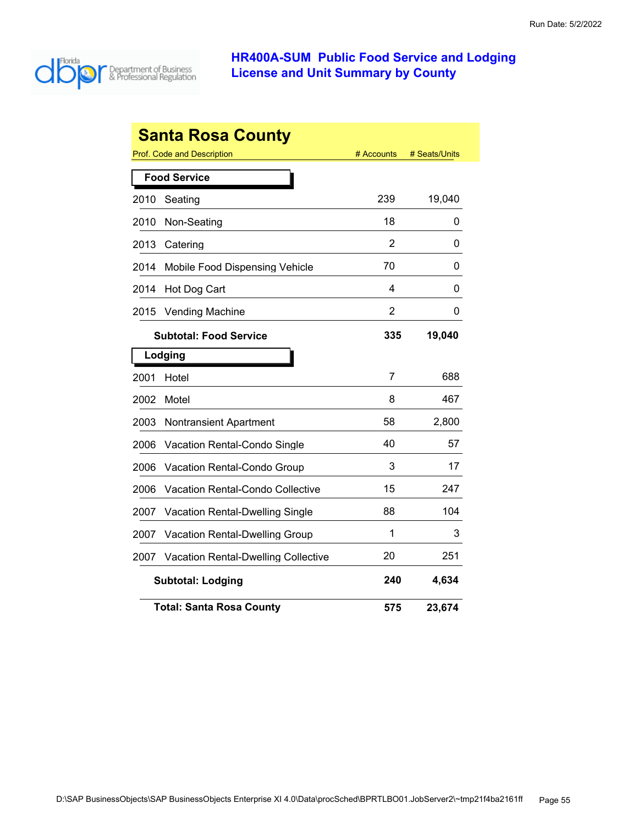

| <b>Santa Rosa County</b> |                                            |                |               |  |  |
|--------------------------|--------------------------------------------|----------------|---------------|--|--|
|                          | Prof. Code and Description                 | # Accounts     | # Seats/Units |  |  |
|                          | <b>Food Service</b>                        |                |               |  |  |
| 2010                     | Seating                                    | 239            | 19,040        |  |  |
| 2010                     | Non-Seating                                | 18             | 0             |  |  |
| 2013                     | Catering                                   | $\overline{2}$ | 0             |  |  |
| 2014                     | Mobile Food Dispensing Vehicle             | 70             | 0             |  |  |
| 2014                     | Hot Dog Cart                               | 4              | 0             |  |  |
| 2015                     | <b>Vending Machine</b>                     | 2              | 0             |  |  |
|                          | <b>Subtotal: Food Service</b>              | 335            | 19,040        |  |  |
|                          | Lodging                                    |                |               |  |  |
| 2001                     | Hotel                                      | 7              | 688           |  |  |
| 2002                     | Motel                                      | 8              | 467           |  |  |
| 2003                     | <b>Nontransient Apartment</b>              | 58             | 2,800         |  |  |
| 2006                     | <b>Vacation Rental-Condo Single</b>        | 40             | 57            |  |  |
| 2006                     | Vacation Rental-Condo Group                | 3              | 17            |  |  |
| 2006                     | Vacation Rental-Condo Collective           | 15             | 247           |  |  |
| 2007                     | Vacation Rental-Dwelling Single            | 88             | 104           |  |  |
| 2007                     | Vacation Rental-Dwelling Group             | 1              | 3             |  |  |
| 2007                     | <b>Vacation Rental-Dwelling Collective</b> | 20             | 251           |  |  |
|                          | <b>Subtotal: Lodging</b>                   | 240            | 4,634         |  |  |
|                          | <b>Total: Santa Rosa County</b>            | 575            | 23,674        |  |  |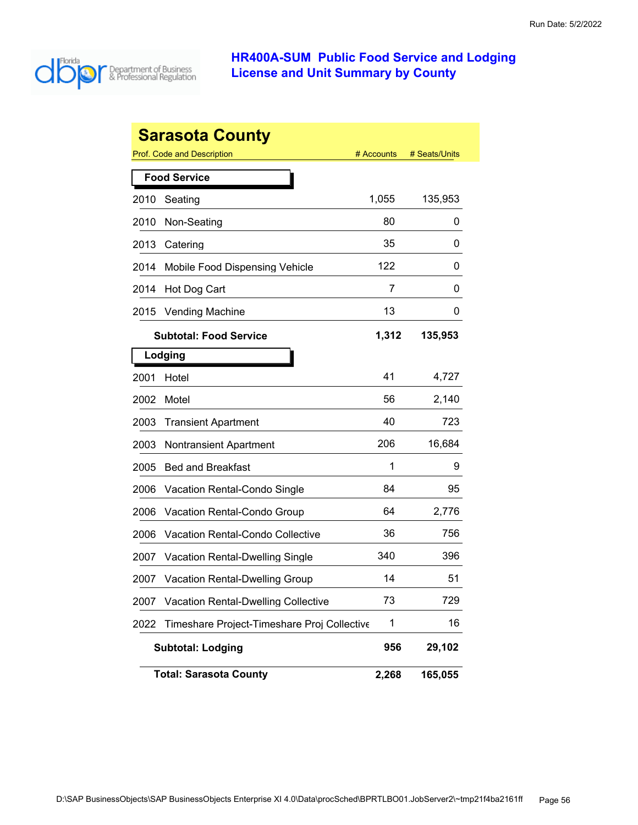

|      | <b>Sarasota County</b>                      |            |               |
|------|---------------------------------------------|------------|---------------|
|      | Prof. Code and Description                  | # Accounts | # Seats/Units |
|      | <b>Food Service</b>                         |            |               |
| 2010 | Seating                                     | 1,055      | 135,953       |
| 2010 | Non-Seating                                 | 80         | 0             |
| 2013 | Catering                                    | 35         | 0             |
| 2014 | Mobile Food Dispensing Vehicle              | 122        | 0             |
| 2014 | Hot Dog Cart                                | 7          | 0             |
| 2015 | <b>Vending Machine</b>                      | 13         | 0             |
|      | <b>Subtotal: Food Service</b>               | 1,312      | 135,953       |
|      | Lodging                                     |            |               |
| 2001 | Hotel                                       | 41         | 4,727         |
| 2002 | Motel                                       | 56         | 2,140         |
| 2003 | <b>Transient Apartment</b>                  | 40         | 723           |
| 2003 | <b>Nontransient Apartment</b>               | 206        | 16,684        |
| 2005 | <b>Bed and Breakfast</b>                    | 1          | 9             |
| 2006 | Vacation Rental-Condo Single                | 84         | 95            |
| 2006 | Vacation Rental-Condo Group                 | 64         | 2,776         |
| 2006 | Vacation Rental-Condo Collective            | 36         | 756           |
| 2007 | <b>Vacation Rental-Dwelling Single</b>      | 340        | 396           |
| 2007 | <b>Vacation Rental-Dwelling Group</b>       | 14         | 51            |
| 2007 | <b>Vacation Rental-Dwelling Collective</b>  | 73         | 729           |
| 2022 | Timeshare Project-Timeshare Proj Collective | 1          | 16            |
|      | <b>Subtotal: Lodging</b>                    | 956        | 29,102        |
|      | <b>Total: Sarasota County</b>               | 2,268      | 165,055       |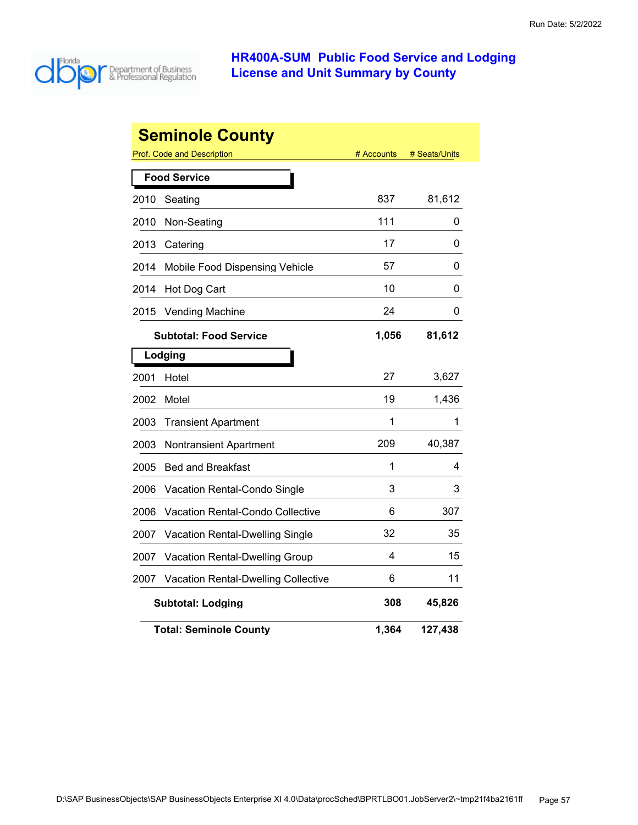

| <b>Seminole County</b> |                                                                  |       |         |  |  |
|------------------------|------------------------------------------------------------------|-------|---------|--|--|
|                        | <b>Prof. Code and Description</b><br># Accounts<br># Seats/Units |       |         |  |  |
|                        | <b>Food Service</b>                                              |       |         |  |  |
| 2010                   | Seating                                                          | 837   | 81,612  |  |  |
| 2010                   | Non-Seating                                                      | 111   | 0       |  |  |
| 2013                   | Catering                                                         | 17    | 0       |  |  |
| 2014                   | Mobile Food Dispensing Vehicle                                   | 57    | 0       |  |  |
| 2014                   | Hot Dog Cart                                                     | 10    | 0       |  |  |
| 2015                   | <b>Vending Machine</b>                                           | 24    | 0       |  |  |
|                        | <b>Subtotal: Food Service</b>                                    | 1,056 | 81,612  |  |  |
|                        | Lodging                                                          |       |         |  |  |
| 2001                   | Hotel                                                            | 27    | 3,627   |  |  |
| 2002                   | Motel                                                            | 19    | 1,436   |  |  |
| 2003                   | <b>Transient Apartment</b>                                       | 1     | 1       |  |  |
| 2003                   | Nontransient Apartment                                           | 209   | 40,387  |  |  |
| 2005                   | <b>Bed and Breakfast</b>                                         | 1     | 4       |  |  |
| 2006                   | Vacation Rental-Condo Single                                     | 3     | 3       |  |  |
| 2006                   | <b>Vacation Rental-Condo Collective</b>                          | 6     | 307     |  |  |
| 2007                   | Vacation Rental-Dwelling Single                                  | 32    | 35      |  |  |
| 2007                   | <b>Vacation Rental-Dwelling Group</b>                            | 4     | 15      |  |  |
| 2007                   | <b>Vacation Rental-Dwelling Collective</b>                       | 6     | 11      |  |  |
|                        | <b>Subtotal: Lodging</b>                                         | 308   | 45,826  |  |  |
|                        | <b>Total: Seminole County</b>                                    | 1,364 | 127,438 |  |  |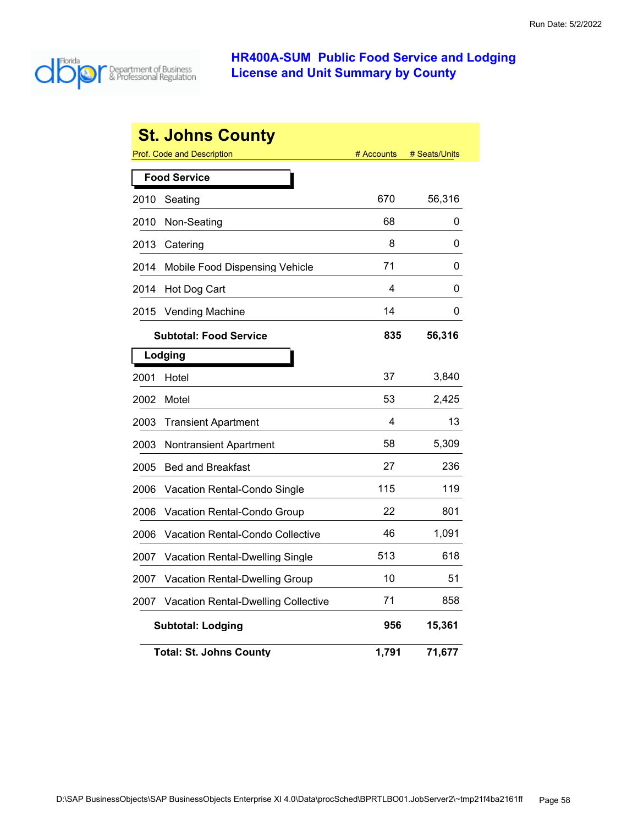

|      | <b>St. Johns County</b>                    |            |               |
|------|--------------------------------------------|------------|---------------|
|      | Prof. Code and Description                 | # Accounts | # Seats/Units |
|      | <b>Food Service</b>                        |            |               |
| 2010 | Seating                                    | 670        | 56,316        |
| 2010 | Non-Seating                                | 68         | 0             |
| 2013 | Catering                                   | 8          | 0             |
| 2014 | Mobile Food Dispensing Vehicle             | 71         | 0             |
| 2014 | Hot Dog Cart                               | 4          | 0             |
| 2015 | <b>Vending Machine</b>                     | 14         | 0             |
|      | <b>Subtotal: Food Service</b>              | 835        | 56,316        |
|      | Lodging                                    |            |               |
| 2001 | Hotel                                      | 37         | 3,840         |
| 2002 | Motel                                      | 53         | 2,425         |
| 2003 | <b>Transient Apartment</b>                 | 4          | 13            |
| 2003 | Nontransient Apartment                     | 58         | 5,309         |
| 2005 | <b>Bed and Breakfast</b>                   | 27         | 236           |
| 2006 | <b>Vacation Rental-Condo Single</b>        | 115        | 119           |
| 2006 | Vacation Rental-Condo Group                | 22         | 801           |
| 2006 | Vacation Rental-Condo Collective           | 46         | 1,091         |
| 2007 | Vacation Rental-Dwelling Single            | 513        | 618           |
| 2007 | <b>Vacation Rental-Dwelling Group</b>      | 10         | 51            |
| 2007 | <b>Vacation Rental-Dwelling Collective</b> | 71         | 858           |
|      | <b>Subtotal: Lodging</b>                   | 956        | 15,361        |
|      | <b>Total: St. Johns County</b>             | 1,791      | 71,677        |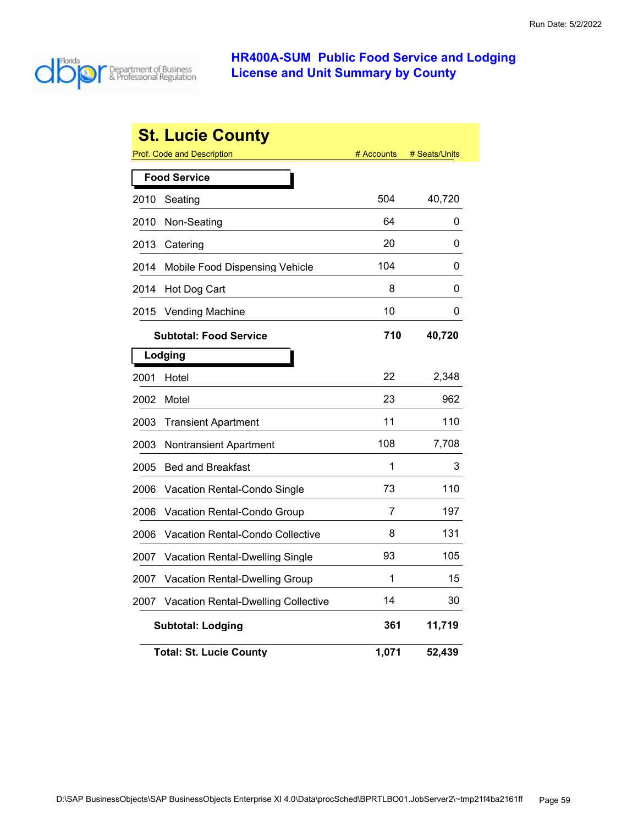

|      | <b>St. Lucie County</b>                    |            |               |
|------|--------------------------------------------|------------|---------------|
|      | <b>Prof. Code and Description</b>          | # Accounts | # Seats/Units |
|      | <b>Food Service</b>                        |            |               |
| 2010 | Seating                                    | 504        | 40,720        |
| 2010 | Non-Seating                                | 64         | 0             |
| 2013 | Catering                                   | 20         | 0             |
| 2014 | Mobile Food Dispensing Vehicle             | 104        | 0             |
| 2014 | Hot Dog Cart                               | 8          | 0             |
| 2015 | <b>Vending Machine</b>                     | 10         | 0             |
|      | <b>Subtotal: Food Service</b>              | 710        | 40,720        |
|      | Lodging                                    |            |               |
| 2001 | Hotel                                      | 22         | 2,348         |
| 2002 | Motel                                      | 23         | 962           |
| 2003 | <b>Transient Apartment</b>                 | 11         | 110           |
| 2003 | Nontransient Apartment                     | 108        | 7,708         |
| 2005 | <b>Bed and Breakfast</b>                   | 1          | 3             |
| 2006 | <b>Vacation Rental-Condo Single</b>        | 73         | 110           |
| 2006 | <b>Vacation Rental-Condo Group</b>         | 7          | 197           |
| 2006 | Vacation Rental-Condo Collective           | 8          | 131           |
| 2007 | <b>Vacation Rental-Dwelling Single</b>     | 93         | 105           |
| 2007 | Vacation Rental-Dwelling Group             | 1          | 15            |
| 2007 | <b>Vacation Rental-Dwelling Collective</b> | 14         | 30            |
|      | <b>Subtotal: Lodging</b>                   | 361        | 11,719        |
|      | <b>Total: St. Lucie County</b>             | 1,071      | 52,439        |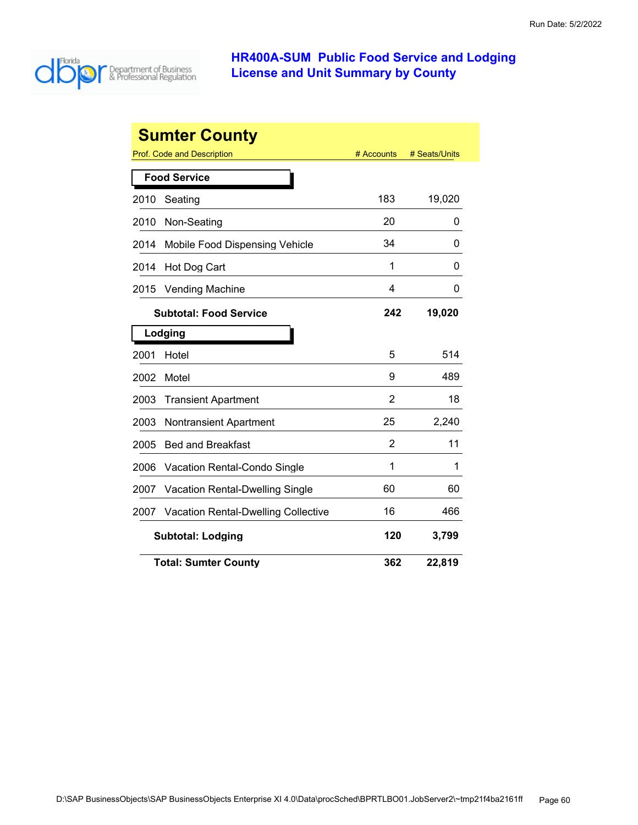

|      | <b>Sumter County</b>                       |            |               |
|------|--------------------------------------------|------------|---------------|
|      | Prof. Code and Description                 | # Accounts | # Seats/Units |
|      | <b>Food Service</b>                        |            |               |
| 2010 | Seating                                    | 183        | 19,020        |
| 2010 | Non-Seating                                | 20         | 0             |
| 2014 | Mobile Food Dispensing Vehicle             | 34         | 0             |
| 2014 | Hot Dog Cart                               | 1          | O             |
| 2015 | Vending Machine                            | 4          | 0             |
|      | <b>Subtotal: Food Service</b>              | 242        | 19,020        |
|      | Lodging                                    |            |               |
| 2001 | Hotel                                      | 5          | 514           |
| 2002 | Motel                                      | 9          | 489           |
| 2003 | <b>Transient Apartment</b>                 | 2          | 18            |
| 2003 | <b>Nontransient Apartment</b>              | 25         | 2,240         |
| 2005 | <b>Bed and Breakfast</b>                   | 2          | 11            |
| 2006 | Vacation Rental-Condo Single               | 1          | 1             |
| 2007 | Vacation Rental-Dwelling Single            | 60         | 60            |
| 2007 | <b>Vacation Rental-Dwelling Collective</b> | 16         | 466           |
|      | <b>Subtotal: Lodging</b>                   | 120        | 3,799         |
|      | <b>Total: Sumter County</b>                | 362        | 22,819        |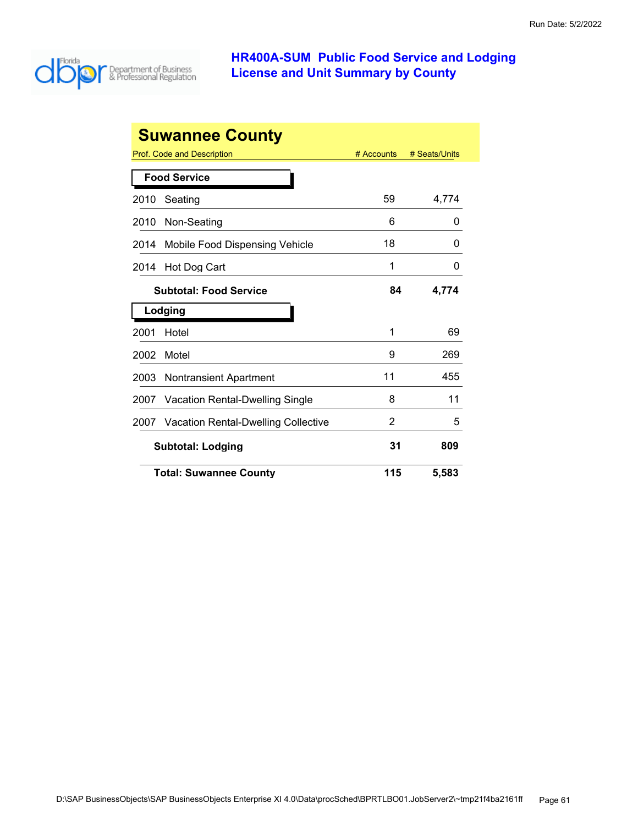

| <b>Suwannee County</b>         |                                        |            |               |  |
|--------------------------------|----------------------------------------|------------|---------------|--|
|                                | Prof. Code and Description             | # Accounts | # Seats/Units |  |
| <b>Food Service</b>            |                                        |            |               |  |
| 2010                           | Seating                                | 59         | 4,774         |  |
| 2010                           | Non-Seating                            | 6          | 0             |  |
| 2014                           | Mobile Food Dispensing Vehicle         | 18         | 0             |  |
| 2014                           | Hot Dog Cart                           | 1          | 0             |  |
|                                | <b>Subtotal: Food Service</b>          | 84         | 4,774         |  |
|                                | Lodging                                |            |               |  |
| 2001                           | Hotel                                  | 1          | 69            |  |
| 2002                           | Motel                                  | 9          | 269           |  |
| 2003                           | <b>Nontransient Apartment</b>          | 11         | 455           |  |
| 2007                           | <b>Vacation Rental-Dwelling Single</b> | 8          | 11            |  |
| 2007                           | Vacation Rental-Dwelling Collective    | 2          | 5             |  |
| 31<br><b>Subtotal: Lodging</b> |                                        |            | 809           |  |
|                                | <b>Total: Suwannee County</b>          | 115        | 5,583         |  |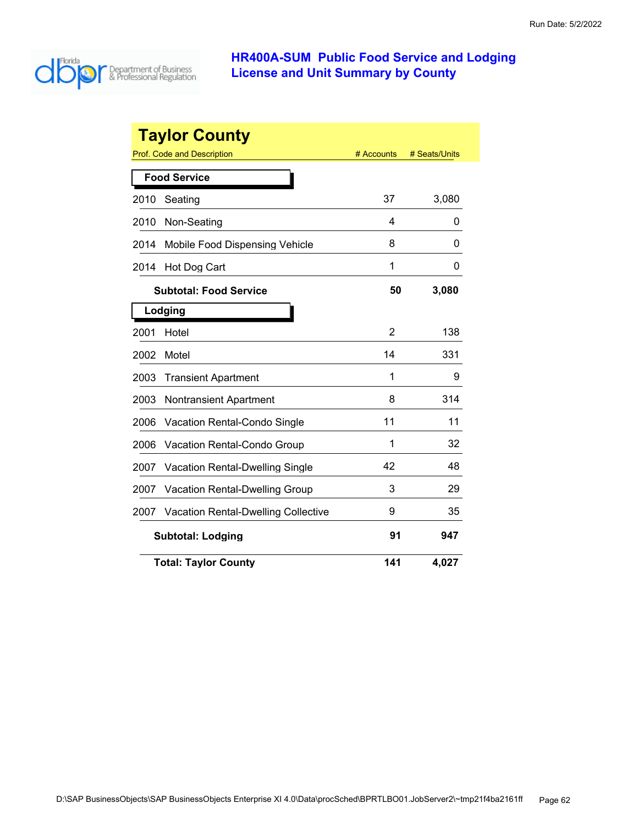

|      | <b>Taylor County</b>                       |            |               |
|------|--------------------------------------------|------------|---------------|
|      | Prof. Code and Description                 | # Accounts | # Seats/Units |
|      | <b>Food Service</b>                        |            |               |
| 2010 | Seating                                    | 37         | 3,080         |
| 2010 | Non-Seating                                | 4          | 0             |
| 2014 | Mobile Food Dispensing Vehicle             | 8          | 0             |
| 2014 | Hot Dog Cart                               | 1          | 0             |
|      | <b>Subtotal: Food Service</b>              | 50         | 3,080         |
|      | Lodging                                    |            |               |
| 2001 | Hotel                                      | 2          | 138           |
| 2002 | Motel                                      | 14         | 331           |
| 2003 | <b>Transient Apartment</b>                 | 1          | 9             |
| 2003 | <b>Nontransient Apartment</b>              | 8          | 314           |
| 2006 | <b>Vacation Rental-Condo Single</b>        | 11         | 11            |
| 2006 | Vacation Rental-Condo Group                | 1          | 32            |
| 2007 | <b>Vacation Rental-Dwelling Single</b>     | 42         | 48            |
| 2007 | Vacation Rental-Dwelling Group             | 3          | 29            |
| 2007 | <b>Vacation Rental-Dwelling Collective</b> | 9          | 35            |
|      | <b>Subtotal: Lodging</b>                   | 91         | 947           |
|      | <b>Total: Taylor County</b>                | 141        | 4,027         |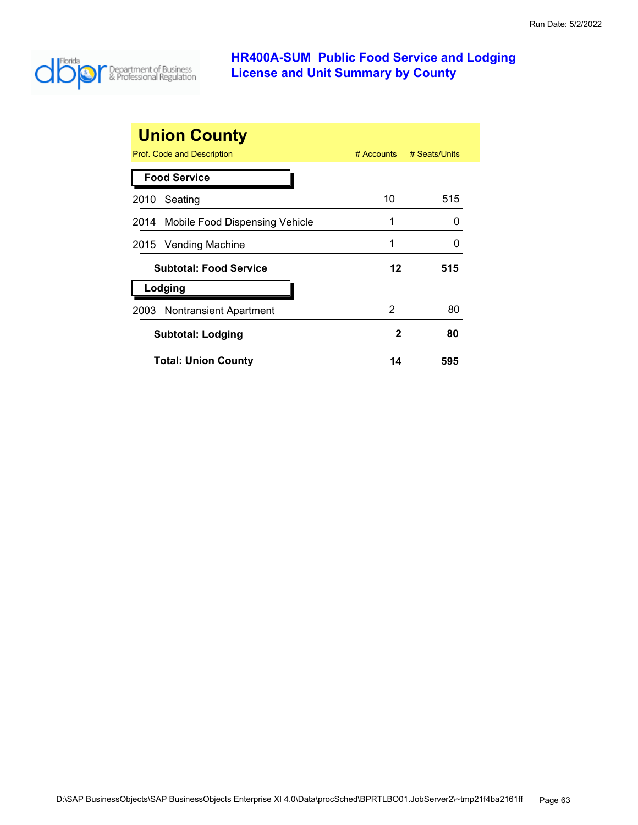

| <b>Union County</b>                 |              |               |
|-------------------------------------|--------------|---------------|
| <b>Prof. Code and Description</b>   | $#$ Accounts | # Seats/Units |
| <b>Food Service</b>                 |              |               |
| Seating<br>2010                     | 10           | 515           |
| 2014 Mobile Food Dispensing Vehicle | 1            | O             |
| 2015 Vending Machine                | 1            | O             |
| <b>Subtotal: Food Service</b>       | 12           | 515           |
| Lodging                             |              |               |
| 2003 Nontransient Apartment         | 2            | 80            |
| Subtotal: Lodging                   | 2            | 80            |
| <b>Total: Union County</b>          | 14           | 595           |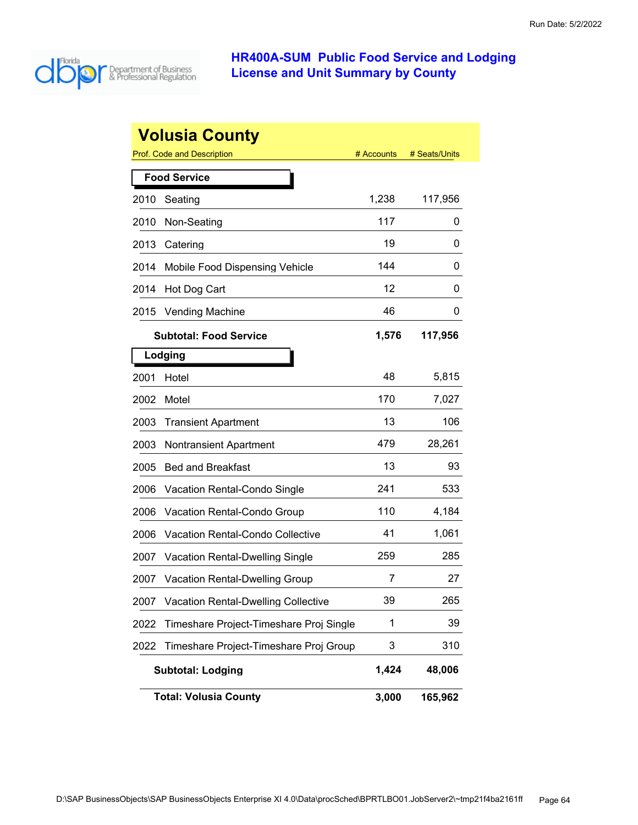

|      | <b>Volusia County</b>                      |            |               |
|------|--------------------------------------------|------------|---------------|
|      | <b>Prof. Code and Description</b>          | # Accounts | # Seats/Units |
|      | <b>Food Service</b>                        |            |               |
| 2010 | Seating                                    | 1,238      | 117,956       |
| 2010 | Non-Seating                                | 117        | 0             |
| 2013 | Catering                                   | 19         | 0             |
| 2014 | Mobile Food Dispensing Vehicle             | 144        | 0             |
| 2014 | Hot Dog Cart                               | 12         | 0             |
| 2015 | <b>Vending Machine</b>                     | 46         | 0             |
|      | <b>Subtotal: Food Service</b>              | 1,576      | 117,956       |
|      | Lodging                                    |            |               |
| 2001 | Hotel                                      | 48         | 5,815         |
| 2002 | Motel                                      | 170        | 7,027         |
| 2003 | <b>Transient Apartment</b>                 | 13         | 106           |
| 2003 | <b>Nontransient Apartment</b>              | 479        | 28,261        |
| 2005 | <b>Bed and Breakfast</b>                   | 13         | 93            |
| 2006 | Vacation Rental-Condo Single               | 241        | 533           |
| 2006 | Vacation Rental-Condo Group                | 110        | 4,184         |
| 2006 | <b>Vacation Rental-Condo Collective</b>    | 41         | 1,061         |
| 2007 | <b>Vacation Rental-Dwelling Single</b>     | 259        | 285           |
| 2007 | <b>Vacation Rental-Dwelling Group</b>      | 7          | 27            |
| 2007 | <b>Vacation Rental-Dwelling Collective</b> | 39         | 265           |
| 2022 | Timeshare Project-Timeshare Proj Single    | 1          | 39            |
| 2022 | Timeshare Project-Timeshare Proj Group     | 3          | 310           |
|      | <b>Subtotal: Lodging</b>                   | 1,424      | 48,006        |
|      | <b>Total: Volusia County</b>               | 3,000      | 165,962       |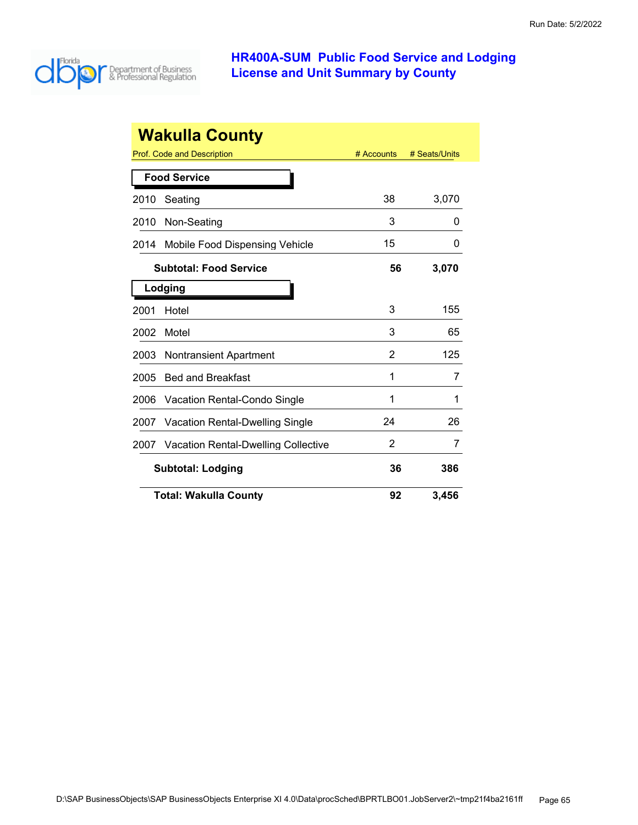

| <b>Wakulla County</b>                              |            |               |  |
|----------------------------------------------------|------------|---------------|--|
| Prof. Code and Description                         | # Accounts | # Seats/Units |  |
| <b>Food Service</b>                                |            |               |  |
| Seating<br>2010                                    | 38         | 3,070         |  |
| Non-Seating<br>2010                                | 3          | O             |  |
| Mobile Food Dispensing Vehicle<br>2014             | 15         | 0             |  |
| <b>Subtotal: Food Service</b>                      | 56         | 3,070         |  |
| Lodging                                            |            |               |  |
| Hotel<br>2001                                      | 3          | 155           |  |
| Motel<br>2002                                      | 3          | 65            |  |
| <b>Nontransient Apartment</b><br>2003              | 2          | 125           |  |
| <b>Bed and Breakfast</b><br>2005                   | 1          | 7             |  |
| 2006<br>Vacation Rental-Condo Single               | 1          | 1             |  |
| <b>Vacation Rental-Dwelling Single</b><br>2007     | 24         | 26            |  |
| <b>Vacation Rental-Dwelling Collective</b><br>2007 | 2          | 7             |  |
| <b>Subtotal: Lodging</b>                           | 36         | 386           |  |
| <b>Total: Wakulla County</b>                       | 92         | 3,456         |  |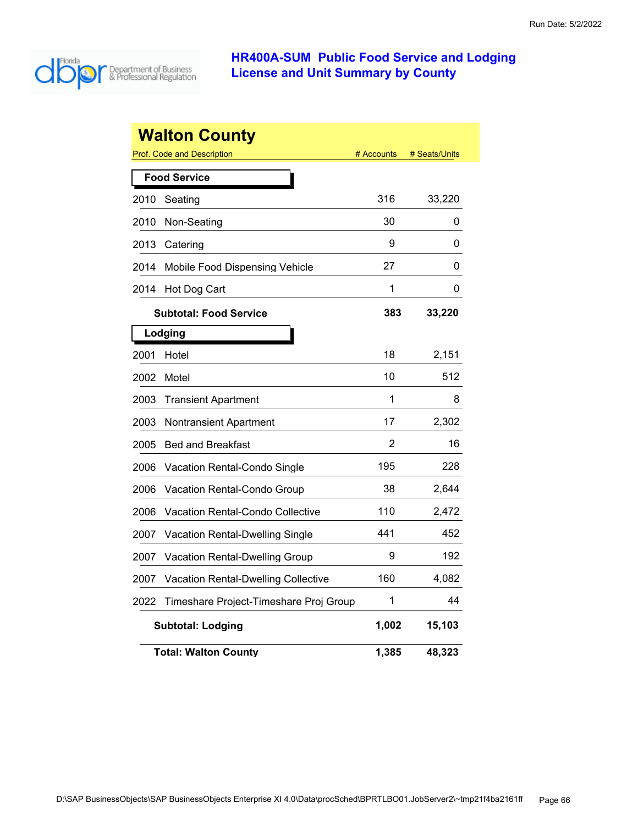

|                          | <b>Walton County</b>                    |            |               |
|--------------------------|-----------------------------------------|------------|---------------|
|                          | Prof. Code and Description              | # Accounts | # Seats/Units |
|                          | <b>Food Service</b>                     |            |               |
| 2010                     | Seating                                 | 316        | 33,220        |
| 2010                     | Non-Seating                             | 30         | 0             |
| 2013                     | Catering                                | 9          | 0             |
| 2014                     | Mobile Food Dispensing Vehicle          | 27         | 0             |
| 2014                     | Hot Dog Cart                            | 1          | 0             |
|                          | <b>Subtotal: Food Service</b>           | 383        | 33,220        |
|                          | Lodging                                 |            |               |
| 2001                     | Hotel                                   | 18         | 2,151         |
| 2002                     | Motel                                   | 10         | 512           |
| 2003                     | <b>Transient Apartment</b>              | 1          | 8             |
| 2003                     | <b>Nontransient Apartment</b>           | 17         | 2,302         |
| 2005                     | <b>Bed and Breakfast</b>                | 2          | 16            |
| 2006                     | Vacation Rental-Condo Single            | 195        | 228           |
| 2006                     | Vacation Rental-Condo Group             | 38         | 2,644         |
| 2006                     | <b>Vacation Rental-Condo Collective</b> | 110        | 2,472         |
| 2007                     | Vacation Rental-Dwelling Single         | 441        | 452           |
| 2007                     | <b>Vacation Rental-Dwelling Group</b>   | 9          | 192           |
| 2007                     | Vacation Rental-Dwelling Collective     | 160        | 4,082         |
| 2022                     | Timeshare Project-Timeshare Proj Group  | 1          | 44            |
| <b>Subtotal: Lodging</b> |                                         | 1,002      | 15,103        |
|                          | <b>Total: Walton County</b>             | 1,385      | 48,323        |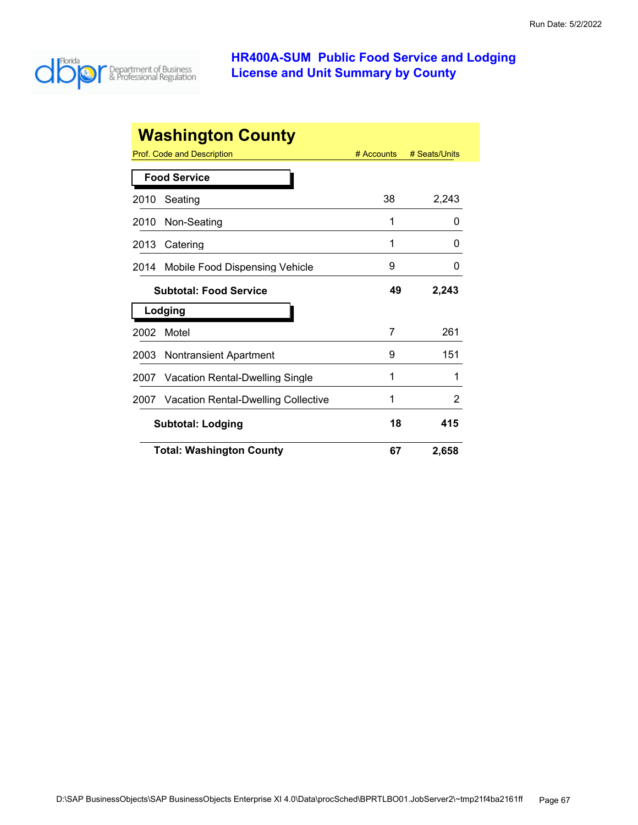

| <b>Washington County</b>      |                                        |            |               |
|-------------------------------|----------------------------------------|------------|---------------|
|                               | Prof. Code and Description             | # Accounts | # Seats/Units |
| <b>Food Service</b>           |                                        |            |               |
| 2010                          | Seating                                | 38         | 2,243         |
| 2010                          | Non-Seating                            | 1          | 0             |
| 2013                          | Catering                               | 1          | $\Omega$      |
| 2014                          | Mobile Food Dispensing Vehicle         | 9          | 0             |
| <b>Subtotal: Food Service</b> |                                        | 49         | 2,243         |
|                               | Lodging                                |            |               |
| 2002                          | Motel                                  | 7          | 261           |
| 2003                          | <b>Nontransient Apartment</b>          | 9          | 151           |
| 2007                          | <b>Vacation Rental-Dwelling Single</b> | 1          |               |
| 2007                          | Vacation Rental-Dwelling Collective    | 1          | 2             |
|                               | <b>Subtotal: Lodging</b>               | 18         | 415           |
|                               | <b>Total: Washington County</b>        | 67         | 2,658         |